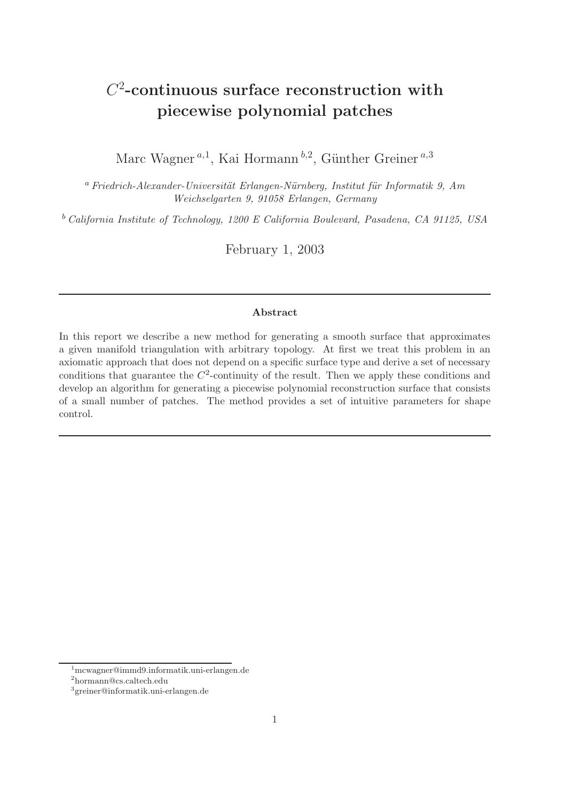# $C<sup>2</sup>$ -continuous surface reconstruction with piecewise polynomial patches

Marc Wagner<sup>a,1</sup>, Kai Hormann<sup>b,2</sup>, Günther Greiner<sup>a,3</sup>

<sup>a</sup> Friedrich-Alexander-Universität Erlangen-Nürnberg, Institut für Informatik 9, Am *Weichselgarten 9, 91058 Erlangen, Germany*

<sup>b</sup> *California Institute of Technology, 1200 E California Boulevard, Pasadena, CA 91125, USA*

February 1, 2003

## Abstract

In this report we describe a new method for generating a smooth surface that approximates a given manifold triangulation with arbitrary topology. At first we treat this problem in an axiomatic approach that does not depend on a specific surface type and derive a set of necessary conditions that guarantee the  $C^2$ -continuity of the result. Then we apply these conditions and develop an algorithm for generating a piecewise polynomial reconstruction surface that consists of a small number of patches. The method provides a set of intuitive parameters for shape control.

<sup>1</sup>mcwagner@immd9.informatik.uni-erlangen.de

<sup>2</sup> hormann@cs.caltech.edu

<sup>3</sup> greiner@informatik.uni-erlangen.de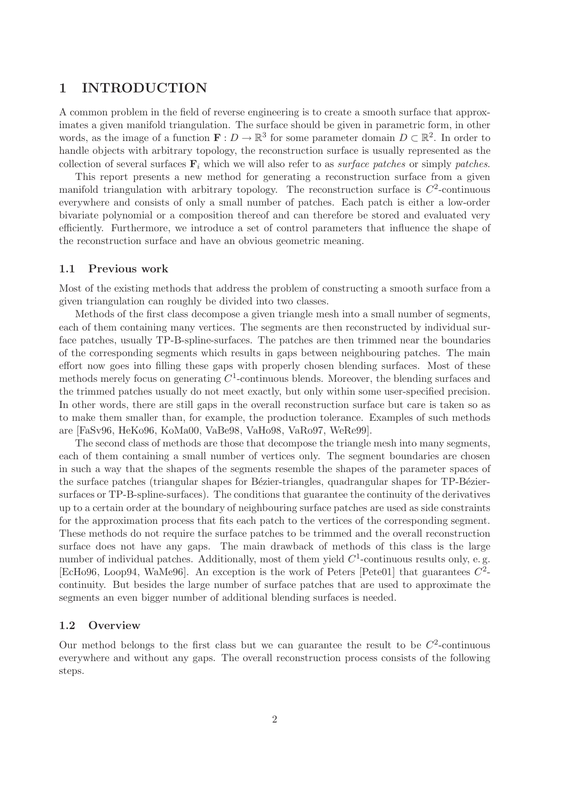# 1 INTRODUCTION

A common problem in the field of reverse engineering is to create a smooth surface that approximates a given manifold triangulation. The surface should be given in parametric form, in other words, as the image of a function  $\mathbf{F}: D \to \mathbb{R}^3$  for some parameter domain  $D \subset \mathbb{R}^2$ . In order to handle objects with arbitrary topology, the reconstruction surface is usually represented as the collection of several surfaces  $\mathbf{F}_i$  which we will also refer to as *surface patches* or simply *patches*.

This report presents a new method for generating a reconstruction surface from a given manifold triangulation with arbitrary topology. The reconstruction surface is  $C^2$ -continuous everywhere and consists of only a small number of patches. Each patch is either a low-order bivariate polynomial or a composition thereof and can therefore be stored and evaluated very efficiently. Furthermore, we introduce a set of control parameters that influence the shape of the reconstruction surface and have an obvious geometric meaning.

#### 1.1 Previous work

Most of the existing methods that address the problem of constructing a smooth surface from a given triangulation can roughly be divided into two classes.

Methods of the first class decompose a given triangle mesh into a small number of segments, each of them containing many vertices. The segments are then reconstructed by individual surface patches, usually TP-B-spline-surfaces. The patches are then trimmed near the boundaries of the corresponding segments which results in gaps between neighbouring patches. The main effort now goes into filling these gaps with properly chosen blending surfaces. Most of these methods merely focus on generating  $C^1$ -continuous blends. Moreover, the blending surfaces and the trimmed patches usually do not meet exactly, but only within some user-specified precision. In other words, there are still gaps in the overall reconstruction surface but care is taken so as to make them smaller than, for example, the production tolerance. Examples of such methods are [FaSv96, HeKo96, KoMa00, VaBe98, VaHo98, VaRo97, WeRe99].

The second class of methods are those that decompose the triangle mesh into many segments, each of them containing a small number of vertices only. The segment boundaries are chosen in such a way that the shapes of the segments resemble the shapes of the parameter spaces of the surface patches (triangular shapes for Bézier-triangles, quadrangular shapes for TP-Béziersurfaces or TP-B-spline-surfaces). The conditions that guarantee the continuity of the derivatives up to a certain order at the boundary of neighbouring surface patches are used as side constraints for the approximation process that fits each patch to the vertices of the corresponding segment. These methods do not require the surface patches to be trimmed and the overall reconstruction surface does not have any gaps. The main drawback of methods of this class is the large number of individual patches. Additionally, most of them yield  $C^1$ -continuous results only, e.g. [EcHo96, Loop94, WaMe96]. An exception is the work of Peters [Pete01] that guarantees  $C^2$ continuity. But besides the large number of surface patches that are used to approximate the segments an even bigger number of additional blending surfaces is needed.

#### 1.2 Overview

Our method belongs to the first class but we can guarantee the result to be  $C^2$ -continuous everywhere and without any gaps. The overall reconstruction process consists of the following steps.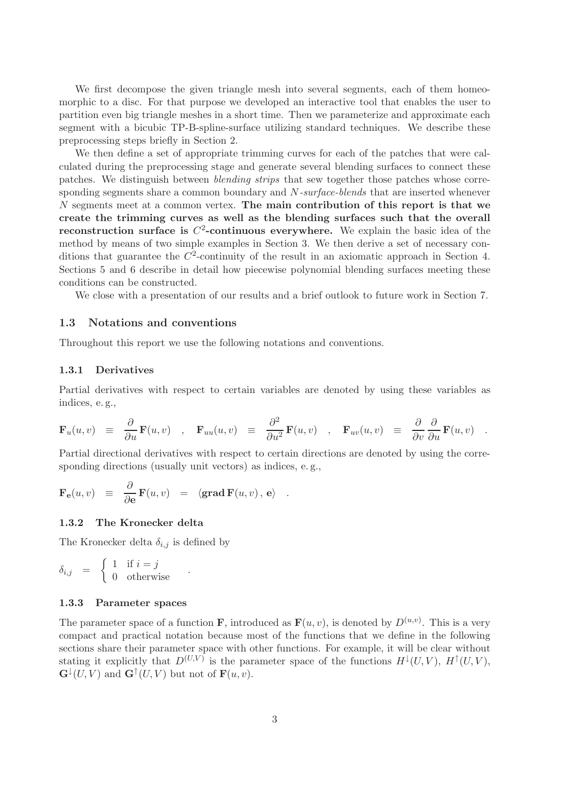We first decompose the given triangle mesh into several segments, each of them homeomorphic to a disc. For that purpose we developed an interactive tool that enables the user to partition even big triangle meshes in a short time. Then we parameterize and approximate each segment with a bicubic TP-B-spline-surface utilizing standard techniques. We describe these preprocessing steps briefly in Section 2.

We then define a set of appropriate trimming curves for each of the patches that were calculated during the preprocessing stage and generate several blending surfaces to connect these patches. We distinguish between *blending strips* that sew together those patches whose corresponding segments share a common boundary and N*-surface-blends* that are inserted whenever  $N$  segments meet at a common vertex. The main contribution of this report is that we create the trimming curves as well as the blending surfaces such that the overall reconstruction surface is  $C^2$ -continuous everywhere. We explain the basic idea of the method by means of two simple examples in Section 3. We then derive a set of necessary conditions that guarantee the  $C^2$ -continuity of the result in an axiomatic approach in Section 4. Sections 5 and 6 describe in detail how piecewise polynomial blending surfaces meeting these conditions can be constructed.

We close with a presentation of our results and a brief outlook to future work in Section 7.

#### 1.3 Notations and conventions

Throughout this report we use the following notations and conventions.

## 1.3.1 Derivatives

Partial derivatives with respect to certain variables are denoted by using these variables as indices, e. g.,

$$
\mathbf{F}_u(u,v) \equiv \frac{\partial}{\partial u} \mathbf{F}(u,v) \quad , \quad \mathbf{F}_{uu}(u,v) \equiv \frac{\partial^2}{\partial u^2} \mathbf{F}(u,v) \quad , \quad \mathbf{F}_{uv}(u,v) \equiv \frac{\partial}{\partial v} \frac{\partial}{\partial u} \mathbf{F}(u,v) \quad .
$$

Partial directional derivatives with respect to certain directions are denoted by using the corresponding directions (usually unit vectors) as indices, e. g.,

$$
\mathbf{F}_{\mathbf{e}}(u,v) \equiv \frac{\partial}{\partial \mathbf{e}} \mathbf{F}(u,v) = \langle \mathbf{grad} \, \mathbf{F}(u,v) \, , \, \mathbf{e} \rangle \quad .
$$

## 1.3.2 The Kronecker delta

The Kronecker delta  $\delta_{i,j}$  is defined by

$$
\delta_{i,j} = \begin{cases} 1 & \text{if } i = j \\ 0 & \text{otherwise} \end{cases} .
$$

#### 1.3.3 Parameter spaces

The parameter space of a function **F**, introduced as  $\mathbf{F}(u, v)$ , is denoted by  $D^{(u,v)}$ . This is a very compact and practical notation because most of the functions that we define in the following sections share their parameter space with other functions. For example, it will be clear without stating it explicitly that  $D^{(U,V)}$  is the parameter space of the functions  $H^{\downarrow}(U,V)$ ,  $H^{\uparrow}(U,V)$ ,  $\mathbf{G}^{\downarrow}(U, V)$  and  $\mathbf{G}^{\uparrow}(U, V)$  but not of  $\mathbf{F}(u, v)$ .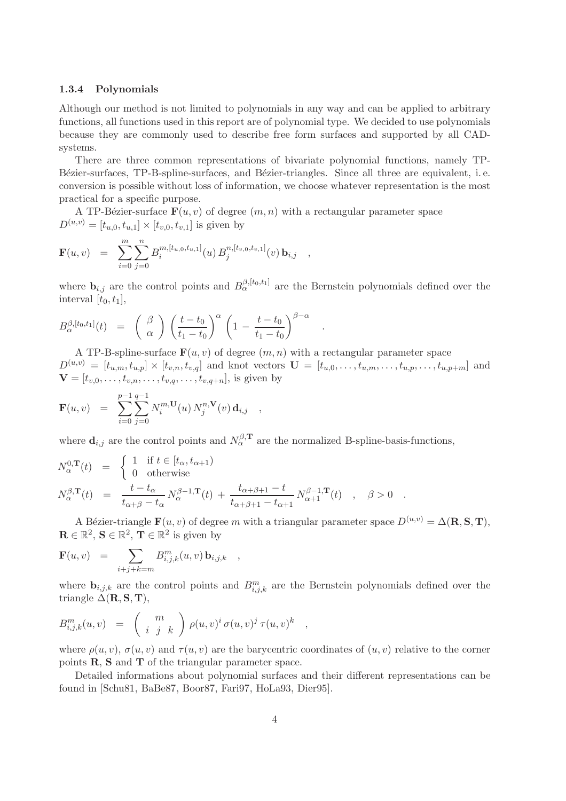#### 1.3.4 Polynomials

Although our method is not limited to polynomials in any way and can be applied to arbitrary functions, all functions used in this report are of polynomial type. We decided to use polynomials because they are commonly used to describe free form surfaces and supported by all CADsystems.

There are three common representations of bivariate polynomial functions, namely TP-Bézier-surfaces, TP-B-spline-surfaces, and Bézier-triangles. Since all three are equivalent, i.e. conversion is possible without loss of information, we choose whatever representation is the most practical for a specific purpose.

A TP-Bézier-surface  $\mathbf{F}(u,v)$  of degree  $(m,n)$  with a rectangular parameter space  $D^{(u,v)} = [t_{u,0}, t_{u,1}] \times [t_{v,0}, t_{v,1}]$  is given by

$$
\mathbf{F}(u,v) = \sum_{i=0}^{m} \sum_{j=0}^{n} B_i^{m,[t_{u,0},t_{u,1}]}(u) B_j^{n,[t_{v,0},t_{v,1}]}(v) \mathbf{b}_{i,j} ,
$$

where  $\mathbf{b}_{i,j}$  are the control points and  $B_{\alpha}^{\beta,[t_0,t_1]}$  are the Bernstein polynomials defined over the interval  $[t_0,t_1]$ ,

.

$$
B_{\alpha}^{\beta,[t_0,t_1]}(t) = \left(\begin{array}{c} \beta \\ \alpha \end{array}\right) \left(\frac{t-t_0}{t_1-t_0}\right)^{\alpha} \left(1 - \frac{t-t_0}{t_1-t_0}\right)^{\beta-\alpha}
$$

A TP-B-spline-surface  $\mathbf{F}(u,v)$  of degree  $(m,n)$  with a rectangular parameter space  $D^{(u,v)} = [t_{u,m}, t_{u,p}] \times [t_{v,n}, t_{v,q}]$  and knot vectors  $\mathbf{U} = [t_{u,0}, \dots, t_{u,m}, \dots, t_{u,p}, \dots, t_{u,p+m}]$  and  ${\bf V} = [t_{v,0}, \ldots, t_{v,n}, \ldots, t_{v,q}, \ldots, t_{v,q+n}]$ , is given by

$$
\mathbf{F}(u,v) = \sum_{i=0}^{p-1} \sum_{j=0}^{q-1} N_i^{m,\mathbf{U}}(u) N_j^{n,\mathbf{V}}(v) \mathbf{d}_{i,j} ,
$$

where  $\mathbf{d}_{i,j}$  are the control points and  $N_{\alpha}^{\beta,\mathbf{T}}$  are the normalized B-spline-basis-functions,

$$
N_{\alpha}^{0,\mathbf{T}}(t) = \begin{cases} 1 & \text{if } t \in [t_{\alpha}, t_{\alpha+1}) \\ 0 & \text{otherwise} \end{cases}
$$
  

$$
N_{\alpha}^{\beta,\mathbf{T}}(t) = \frac{t - t_{\alpha}}{t_{\alpha+\beta} - t_{\alpha}} N_{\alpha}^{\beta-1,\mathbf{T}}(t) + \frac{t_{\alpha+\beta+1} - t}{t_{\alpha+\beta+1} - t_{\alpha+1}} N_{\alpha+1}^{\beta-1,\mathbf{T}}(t) , \quad \beta > 0 .
$$

A Bézier-triangle  $\mathbf{F}(u,v)$  of degree m with a triangular parameter space  $D^{(u,v)} = \Delta(\mathbf{R}, \mathbf{S}, \mathbf{T}),$  $\mathbf{R} \in \mathbb{R}^2$ ,  $\mathbf{S} \in \mathbb{R}^2$ ,  $\mathbf{T} \in \mathbb{R}^2$  is given by

$$
\mathbf{F}(u,v) = \sum_{i+j+k=m} B^{m}_{i,j,k}(u,v) \, \mathbf{b}_{i,j,k} \quad ,
$$

where  $\mathbf{b}_{i,j,k}$  are the control points and  $B^m_{i,j,k}$  are the Bernstein polynomials defined over the triangle  $\Delta(\mathbf{R}, \mathbf{S}, \mathbf{T}),$ 

,

$$
B_{i,j,k}^m(u,v) = {m \choose i,j,k} \rho(u,v)^i \sigma(u,v)^j \tau(u,v)^k
$$

where  $\rho(u,v)$ ,  $\sigma(u,v)$  and  $\tau(u,v)$  are the barycentric coordinates of  $(u,v)$  relative to the corner points R, S and T of the triangular parameter space.

Detailed informations about polynomial surfaces and their different representations can be found in [Schu81, BaBe87, Boor87, Fari97, HoLa93, Dier95].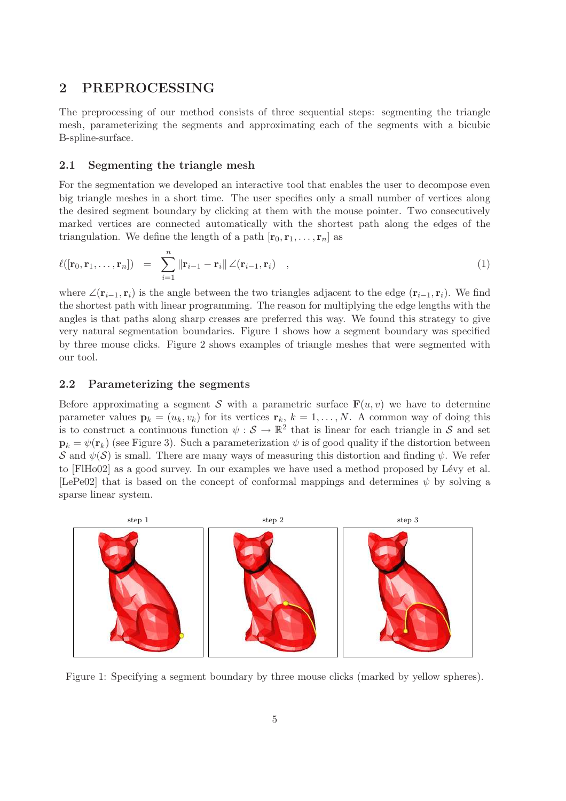# 2 PREPROCESSING

The preprocessing of our method consists of three sequential steps: segmenting the triangle mesh, parameterizing the segments and approximating each of the segments with a bicubic B-spline-surface.

## 2.1 Segmenting the triangle mesh

For the segmentation we developed an interactive tool that enables the user to decompose even big triangle meshes in a short time. The user specifies only a small number of vertices along the desired segment boundary by clicking at them with the mouse pointer. Two consecutively marked vertices are connected automatically with the shortest path along the edges of the triangulation. We define the length of a path  $[r_0, r_1, \ldots, r_n]$  as

$$
\ell([\mathbf{r}_0, \mathbf{r}_1, \dots, \mathbf{r}_n]) = \sum_{i=1}^n \|\mathbf{r}_{i-1} - \mathbf{r}_i\| \angle (\mathbf{r}_{i-1}, \mathbf{r}_i) , \qquad (1)
$$

where ∠( $\mathbf{r}_{i-1}, \mathbf{r}_i$ ) is the angle between the two triangles adjacent to the edge  $(\mathbf{r}_{i-1}, \mathbf{r}_i)$ . We find the shortest path with linear programming. The reason for multiplying the edge lengths with the angles is that paths along sharp creases are preferred this way. We found this strategy to give very natural segmentation boundaries. Figure 1 shows how a segment boundary was specified by three mouse clicks. Figure 2 shows examples of triangle meshes that were segmented with our tool.

## 2.2 Parameterizing the segments

Before approximating a segment S with a parametric surface  $\mathbf{F}(u,v)$  we have to determine parameter values  $\mathbf{p}_k = (u_k, v_k)$  for its vertices  $\mathbf{r}_k$ ,  $k = 1, \ldots, N$ . A common way of doing this is to construct a continuous function  $\psi : \mathcal{S} \to \mathbb{R}^2$  that is linear for each triangle in S and set  $\mathbf{p}_k = \psi(\mathbf{r}_k)$  (see Figure 3). Such a parameterization  $\psi$  is of good quality if the distortion between S and  $\psi(\mathcal{S})$  is small. There are many ways of measuring this distortion and finding  $\psi$ . We refer to [FIHo02] as a good survey. In our examples we have used a method proposed by Lévy et al. [LePe02] that is based on the concept of conformal mappings and determines  $\psi$  by solving a sparse linear system.



Figure 1: Specifying a segment boundary by three mouse clicks (marked by yellow spheres).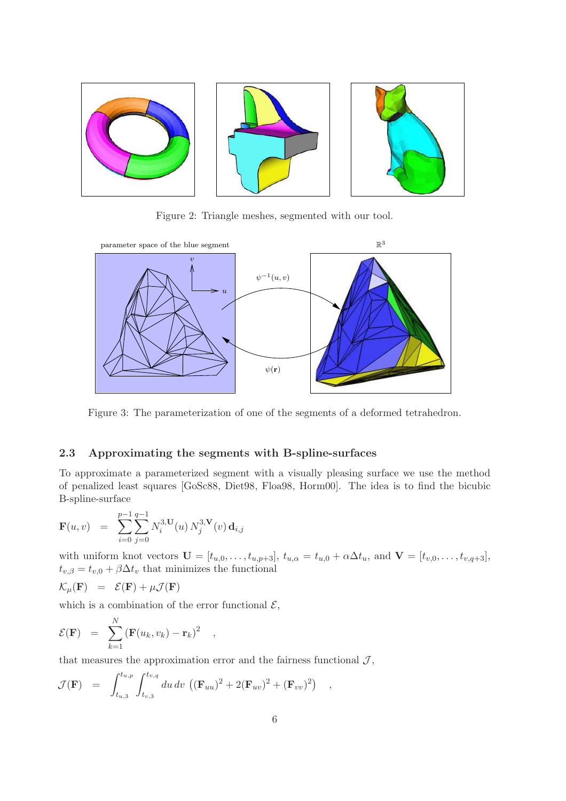

Figure 2: Triangle meshes, segmented with our tool.



Figure 3: The parameterization of one of the segments of a deformed tetrahedron.

# 2.3 Approximating the segments with B-spline-surfaces

To approximate a parameterized segment with a visually pleasing surface we use the method of penalized least squares [GoSc88, Diet98, Floa98, Horm00]. The idea is to find the bicubic B-spline-surface

$$
\mathbf{F}(u,v) = \sum_{i=0}^{p-1} \sum_{j=0}^{q-1} N_i^{3,\mathbf{U}}(u) N_j^{3,\mathbf{V}}(v) \, \mathbf{d}_{i,j}
$$

with uniform knot vectors  $\mathbf{U} = [t_{u,0},\ldots,t_{u,p+3}], t_{u,\alpha} = t_{u,0} + \alpha \Delta t_u$ , and  $\mathbf{V} = [t_{v,0},\ldots,t_{v,q+3}],$  $t_{v,\beta} = t_{v,0} + \beta \Delta t_v$  that minimizes the functional

$$
\mathcal{K}_{\mu}(\mathbf{F}) = \mathcal{E}(\mathbf{F}) + \mu \mathcal{J}(\mathbf{F})
$$

which is a combination of the error functional  $\mathcal{E}$ ,

$$
\mathcal{E}(\mathbf{F}) = \sum_{k=1}^{N} (\mathbf{F}(u_k, v_k) - \mathbf{r}_k)^2
$$

that measures the approximation error and the fairness functional  $J$ ,

,

$$
\mathcal{J}(\mathbf{F}) = \int_{t_{u,3}}^{t_{u,p}} \int_{t_{v,3}}^{t_{v,q}} du \, dv \, ((\mathbf{F}_{uu})^2 + 2(\mathbf{F}_{uv})^2 + (\mathbf{F}_{vv})^2) ,
$$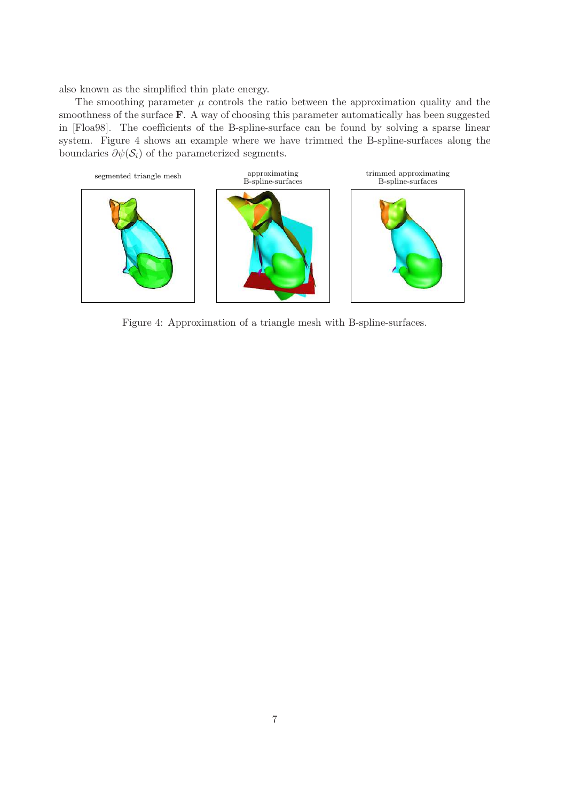also known as the simplified thin plate energy.

The smoothing parameter  $\mu$  controls the ratio between the approximation quality and the smoothness of the surface **F**. A way of choosing this parameter automatically has been suggested in [Floa98]. The coefficients of the B-spline-surface can be found by solving a sparse linear system. Figure 4 shows an example where we have trimmed the B-spline-surfaces along the boundaries  $\partial \psi(\mathcal{S}_i)$  of the parameterized segments.



Figure 4: Approximation of a triangle mesh with B-spline-surfaces.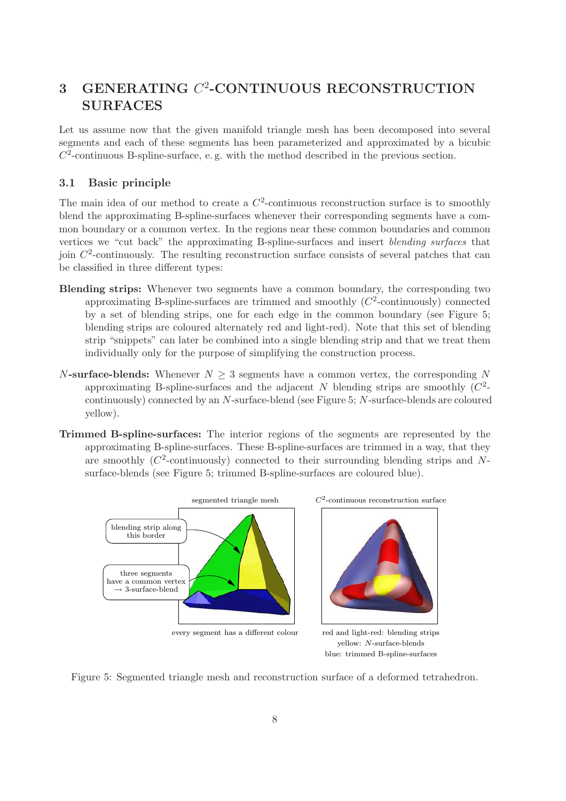# 3 GENERATING  $C^2$ -CONTINUOUS RECONSTRUCTION SURFACES

Let us assume now that the given manifold triangle mesh has been decomposed into several segments and each of these segments has been parameterized and approximated by a bicubic  $C<sup>2</sup>$ -continuous B-spline-surface, e.g. with the method described in the previous section.

# 3.1 Basic principle

The main idea of our method to create a  $C^2$ -continuous reconstruction surface is to smoothly blend the approximating B-spline-surfaces whenever their corresponding segments have a common boundary or a common vertex. In the regions near these common boundaries and common vertices we "cut back" the approximating B-spline-surfaces and insert *blending surfaces* that join  $C<sup>2</sup>$ -continuously. The resulting reconstruction surface consists of several patches that can be classified in three different types:

- Blending strips: Whenever two segments have a common boundary, the corresponding two approximating B-spline-surfaces are trimmed and smoothly  $(C<sup>2</sup>$ -continuously) connected by a set of blending strips, one for each edge in the common boundary (see Figure 5; blending strips are coloured alternately red and light-red). Note that this set of blending strip "snippets" can later be combined into a single blending strip and that we treat them individually only for the purpose of simplifying the construction process.
- N-surface-blends: Whenever  $N \geq 3$  segments have a common vertex, the corresponding N approximating B-spline-surfaces and the adjacent N blending strips are smoothly  $(C^2$ continuously) connected by an N-surface-blend (see Figure 5; N-surface-blends are coloured yellow).
- Trimmed B-spline-surfaces: The interior regions of the segments are represented by the approximating B-spline-surfaces. These B-spline-surfaces are trimmed in a way, that they are smoothly ( $C^2$ -continuously) connected to their surrounding blending strips and Nsurface-blends (see Figure 5; trimmed B-spline-surfaces are coloured blue).



Figure 5: Segmented triangle mesh and reconstruction surface of a deformed tetrahedron.

blue: trimmed B-spline-surfaces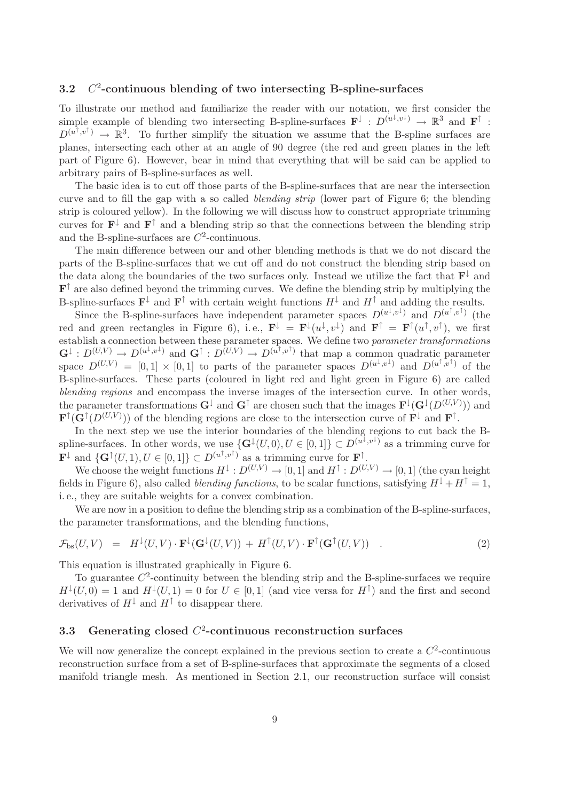#### 3.2 C 2 -continuous blending of two intersecting B-spline-surfaces

To illustrate our method and familiarize the reader with our notation, we first consider the simple example of blending two intersecting B-spline-surfaces  $\mathbf{F}^{\downarrow} : D^{(u^{\downarrow}, v^{\downarrow})} \to \mathbb{R}^3$  and  $\mathbf{F}^{\uparrow}$ :  $D^{(u^{\uparrow}, v^{\uparrow})} \to \mathbb{R}^3$ . To further simplify the situation we assume that the B-spline surfaces are planes, intersecting each other at an angle of 90 degree (the red and green planes in the left part of Figure 6). However, bear in mind that everything that will be said can be applied to arbitrary pairs of B-spline-surfaces as well.

The basic idea is to cut off those parts of the B-spline-surfaces that are near the intersection curve and to fill the gap with a so called *blending strip* (lower part of Figure 6; the blending strip is coloured yellow). In the following we will discuss how to construct appropriate trimming curves for  $\mathbf{F}^{\downarrow}$  and  $\mathbf{F}^{\uparrow}$  and a blending strip so that the connections between the blending strip and the B-spline-surfaces are  $C^2$ -continuous.

The main difference between our and other blending methods is that we do not discard the parts of the B-spline-surfaces that we cut off and do not construct the blending strip based on the data along the boundaries of the two surfaces only. Instead we utilize the fact that  $\mathbf{F}^{\downarrow}$  and  $\mathbf{F}^{\uparrow}$  are also defined beyond the trimming curves. We define the blending strip by multiplying the B-spline-surfaces  $\mathbf{F}^{\downarrow}$  and  $\mathbf{F}^{\uparrow}$  with certain weight functions  $H^{\downarrow}$  and  $H^{\uparrow}$  and adding the results.

Since the B-spline-surfaces have independent parameter spaces  $D^{(u^{\downarrow},v^{\downarrow})}$  and  $D^{(u^{\uparrow},v^{\uparrow})}$  (the red and green rectangles in Figure 6), i.e.,  $\mathbf{F}^{\downarrow} = \mathbf{F}^{\downarrow}(u^{\downarrow}, v^{\downarrow})$  and  $\mathbf{F}^{\uparrow} = \mathbf{F}^{\uparrow}(u^{\uparrow}, v^{\uparrow})$ , we first establish a connection between these parameter spaces. We define two *parameter transformations*  $\mathbf{G}^{\downarrow}: D^{(U,V)} \to D^{(u^{\downarrow},v^{\downarrow})}$  and  $\mathbf{G}^{\uparrow}: D^{(U,V)} \to D^{(u^{\uparrow},v^{\uparrow})}$  that map a common quadratic parameter space  $D^{(U,V)} = [0,1] \times [0,1]$  to parts of the parameter spaces  $D^{(u^{\downarrow},v^{\downarrow})}$  and  $D^{(u^{\uparrow},v^{\uparrow})}$  of the B-spline-surfaces. These parts (coloured in light red and light green in Figure 6) are called *blending regions* and encompass the inverse images of the intersection curve. In other words, the parameter transformations  $G^{\downarrow}$  and  $G^{\uparrow}$  are chosen such that the images  $\mathbf{F}^{\downarrow}(G^{\downarrow}(D^{(U,V)}))$  and  $\mathbf{F}^{\uparrow}(\mathbf{G}^{\uparrow}(D^{(U,V)}))$  of the blending regions are close to the intersection curve of  $\mathbf{F}^{\downarrow}$  and  $\mathbf{F}^{\uparrow}$ .

In the next step we use the interior boundaries of the blending regions to cut back the Bspline-surfaces. In other words, we use  $\{G^{\downarrow}(U,0), U \in [0,1]\} \subset D^{(u^{\overline{\downarrow}}, v^{\downarrow})}$  as a trimming curve for  $\mathbf{F}^{\downarrow}$  and  $\{\mathbf{G}^{\uparrow}(U,1), U \in [0,1]\} \subset D^{(u^{\uparrow}, v^{\uparrow})}$  as a trimming curve for  $\mathbf{F}^{\uparrow}$ .

We choose the weight functions  $H^{\downarrow}: D^{(U,V)} \to [0,1]$  and  $H^{\uparrow}: D^{(U,V)} \to [0,1]$  (the cyan height fields in Figure 6), also called *blending functions*, to be scalar functions, satisfying  $H^{\downarrow} + H^{\uparrow} = 1$ , i. e., they are suitable weights for a convex combination.

We are now in a position to define the blending strip as a combination of the B-spline-surfaces, the parameter transformations, and the blending functions,

$$
\mathcal{F}_{\text{bs}}(U,V) = H^{\downarrow}(U,V) \cdot \mathbf{F}^{\downarrow}(\mathbf{G}^{\downarrow}(U,V)) + H^{\uparrow}(U,V) \cdot \mathbf{F}^{\uparrow}(\mathbf{G}^{\uparrow}(U,V)) . \tag{2}
$$

This equation is illustrated graphically in Figure 6.

To guarantee  $C^2$ -continuity between the blending strip and the B-spline-surfaces we require  $H^{\downarrow}(U,0) = 1$  and  $H^{\downarrow}(U,1) = 0$  for  $U \in [0,1]$  (and vice versa for  $H^{\uparrow}$ ) and the first and second derivatives of  $H^{\downarrow}$  and  $H^{\uparrow}$  to disappear there.

# 3.3 Generating closed  $C^2$ -continuous reconstruction surfaces

We will now generalize the concept explained in the previous section to create a  $C^2$ -continuous reconstruction surface from a set of B-spline-surfaces that approximate the segments of a closed manifold triangle mesh. As mentioned in Section 2.1, our reconstruction surface will consist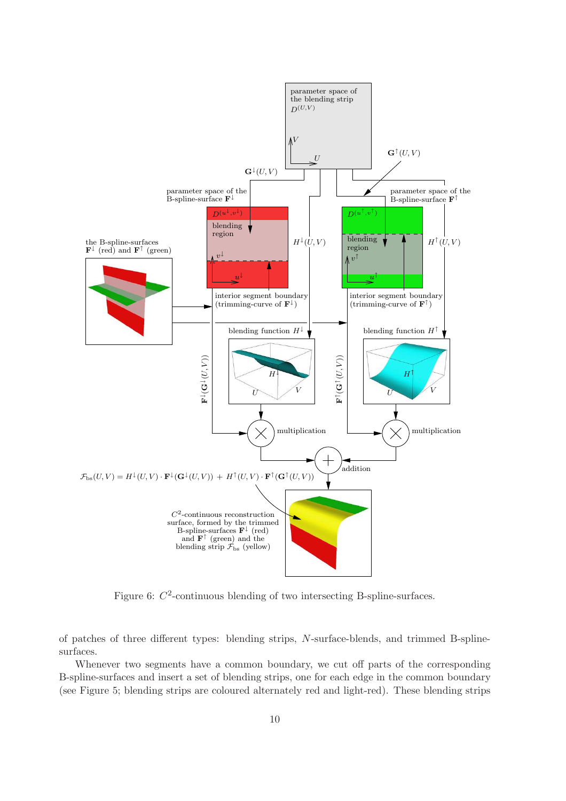

Figure 6:  $C^2$ -continuous blending of two intersecting B-spline-surfaces.

of patches of three different types: blending strips, N-surface-blends, and trimmed B-splinesurfaces.

Whenever two segments have a common boundary, we cut off parts of the corresponding B-spline-surfaces and insert a set of blending strips, one for each edge in the common boundary (see Figure 5; blending strips are coloured alternately red and light-red). These blending strips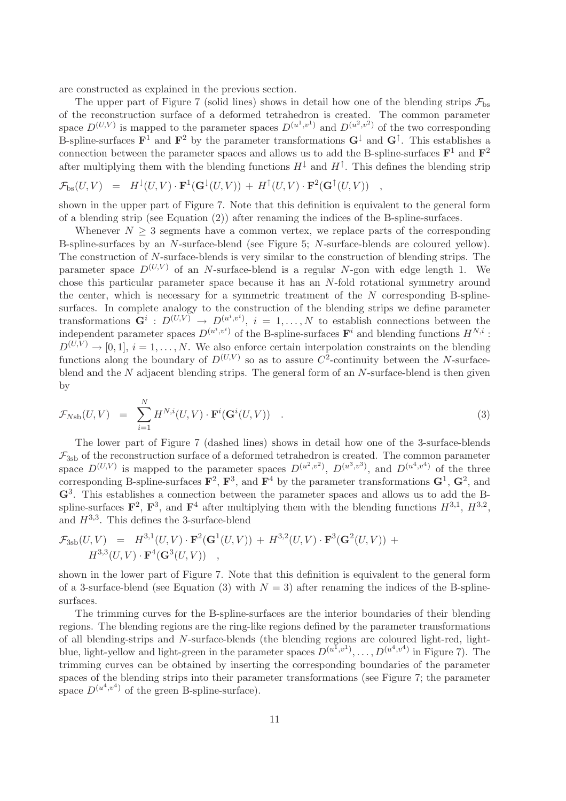are constructed as explained in the previous section.

The upper part of Figure 7 (solid lines) shows in detail how one of the blending strips  $\mathcal{F}_{\text{bs}}$ of the reconstruction surface of a deformed tetrahedron is created. The common parameter space  $D^{(U,V)}$  is mapped to the parameter spaces  $D^{(u^1,v^1)}$  and  $D^{(u^2,v^2)}$  of the two corresponding B-spline-surfaces  $\mathbf{F}^1$  and  $\mathbf{F}^2$  by the parameter transformations  $\mathbf{G}^{\downarrow}$  and  $\mathbf{G}^{\uparrow}$ . This establishes a connection between the parameter spaces and allows us to add the B-spline-surfaces  $\mathbf{F}^1$  and  $\mathbf{F}^2$ after multiplying them with the blending functions  $H^{\downarrow}$  and  $H^{\uparrow}$ . This defines the blending strip

$$
\mathcal{F}_{\mathrm{bs}}(U,V) = H^{\downarrow}(U,V) \cdot \mathbf{F}^1(\mathbf{G}^{\downarrow}(U,V)) + H^{\uparrow}(U,V) \cdot \mathbf{F}^2(\mathbf{G}^{\uparrow}(U,V)) ,
$$

shown in the upper part of Figure 7. Note that this definition is equivalent to the general form of a blending strip (see Equation (2)) after renaming the indices of the B-spline-surfaces.

Whenever  $N \geq 3$  segments have a common vertex, we replace parts of the corresponding B-spline-surfaces by an N-surface-blend (see Figure 5; N-surface-blends are coloured yellow). The construction of N-surface-blends is very similar to the construction of blending strips. The parameter space  $D^{(U,V)}$  of an N-surface-blend is a regular N-gon with edge length 1. We chose this particular parameter space because it has an N-fold rotational symmetry around the center, which is necessary for a symmetric treatment of the  $N$  corresponding B-splinesurfaces. In complete analogy to the construction of the blending strips we define parameter transformations  $\mathbf{G}^i : D^{(U,V)} \to D^{(u^i,v^i)}, i = 1,\ldots,N$  to establish connections between the independent parameter spaces  $D^{(u^i, v^i)}$  of the B-spline-surfaces  $\mathbf{F}^i$  and blending functions  $H^{N,i}$ :  $D^{(U,V)} \to [0,1], i = 1,\ldots,N$ . We also enforce certain interpolation constraints on the blending functions along the boundary of  $D^{(U,V)}$  so as to assure  $C^2$ -continuity between the N-surfaceblend and the  $N$  adjacent blending strips. The general form of an  $N$ -surface-blend is then given by

$$
\mathcal{F}_{Nsb}(U,V) = \sum_{i=1}^{N} H^{N,i}(U,V) \cdot \mathbf{F}^{i}(\mathbf{G}^{i}(U,V)) . \qquad (3)
$$

The lower part of Figure 7 (dashed lines) shows in detail how one of the 3-surface-blends  $\mathcal{F}_{3sb}$  of the reconstruction surface of a deformed tetrahedron is created. The common parameter space  $D^{(U,V)}$  is mapped to the parameter spaces  $D^{(u^2,v^2)}$ ,  $D^{(u^3,v^3)}$ , and  $D^{(u^4,v^4)}$  of the three corresponding B-spline-surfaces  $\mathbf{F}^2$ ,  $\mathbf{F}^3$ , and  $\mathbf{F}^4$  by the parameter transformations  $\mathbf{G}^1$ ,  $\mathbf{G}^2$ , and G<sup>3</sup> . This establishes a connection between the parameter spaces and allows us to add the Bspline-surfaces  $\mathbf{F}^2$ ,  $\mathbf{F}^3$ , and  $\mathbf{F}^4$  after multiplying them with the blending functions  $H^{3,1}$ ,  $H^{3,2}$ , and  $H^{3,3}$ . This defines the 3-surface-blend

$$
\mathcal{F}_{3sb}(U,V) = H^{3,1}(U,V) \cdot \mathbf{F}^{2}(\mathbf{G}^{1}(U,V)) + H^{3,2}(U,V) \cdot \mathbf{F}^{3}(\mathbf{G}^{2}(U,V)) + H^{3,3}(U,V) \cdot \mathbf{F}^{4}(\mathbf{G}^{3}(U,V)) ,
$$

shown in the lower part of Figure 7. Note that this definition is equivalent to the general form of a 3-surface-blend (see Equation (3) with  $N = 3$ ) after renaming the indices of the B-splinesurfaces.

The trimming curves for the B-spline-surfaces are the interior boundaries of their blending regions. The blending regions are the ring-like regions defined by the parameter transformations of all blending-strips and N-surface-blends (the blending regions are coloured light-red, lightblue, light-yellow and light-green in the parameter spaces  $D^{(u^1,v^1)}, \ldots, D^{(u^4,v^4)}$  in Figure 7). The trimming curves can be obtained by inserting the corresponding boundaries of the parameter spaces of the blending strips into their parameter transformations (see Figure 7; the parameter space  $D^{(u^4, v^4)}$  of the green B-spline-surface).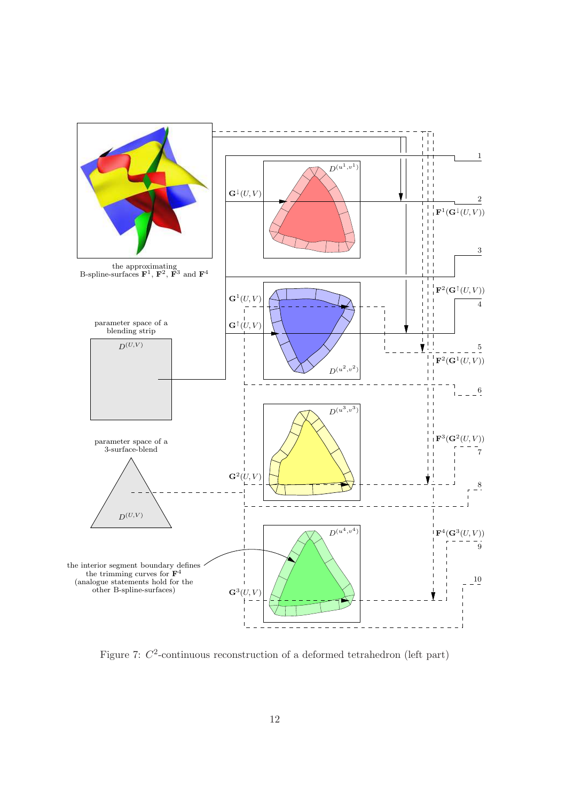

Figure 7:  $C^2$ -continuous reconstruction of a deformed tetrahedron (left part)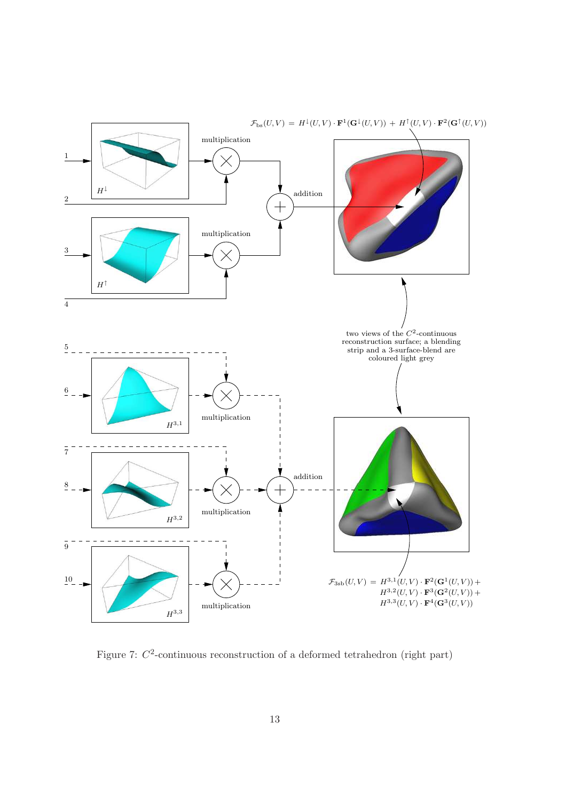

Figure 7:  $C^2$ -continuous reconstruction of a deformed tetrahedron (right part)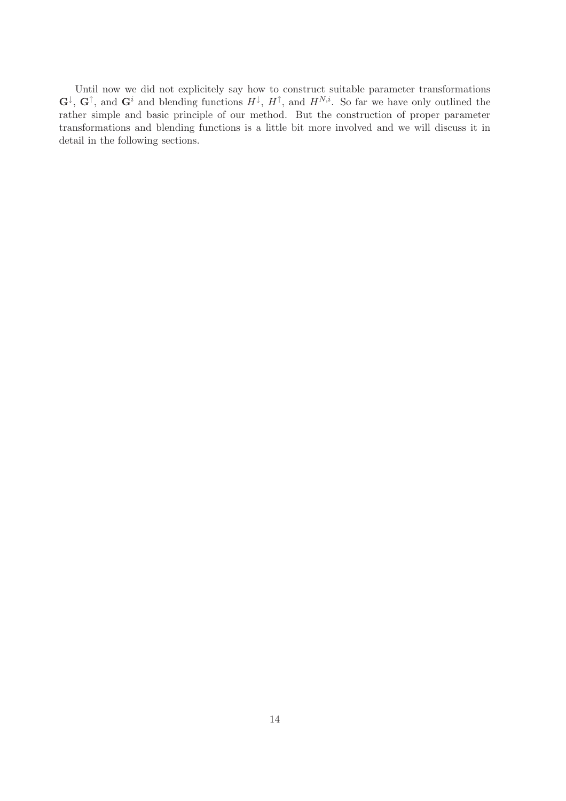Until now we did not explicitely say how to construct suitable parameter transformations  $\mathbf{G}^{\downarrow}, \mathbf{G}^{\uparrow}$ , and  $\mathbf{G}^{i}$  and blending functions  $H^{\downarrow}, H^{\uparrow}$ , and  $H^{N,i}$ . So far we have only outlined the rather simple and basic principle of our method. But the construction of proper parameter transformations and blending functions is a little bit more involved and we will discuss it in detail in the following sections.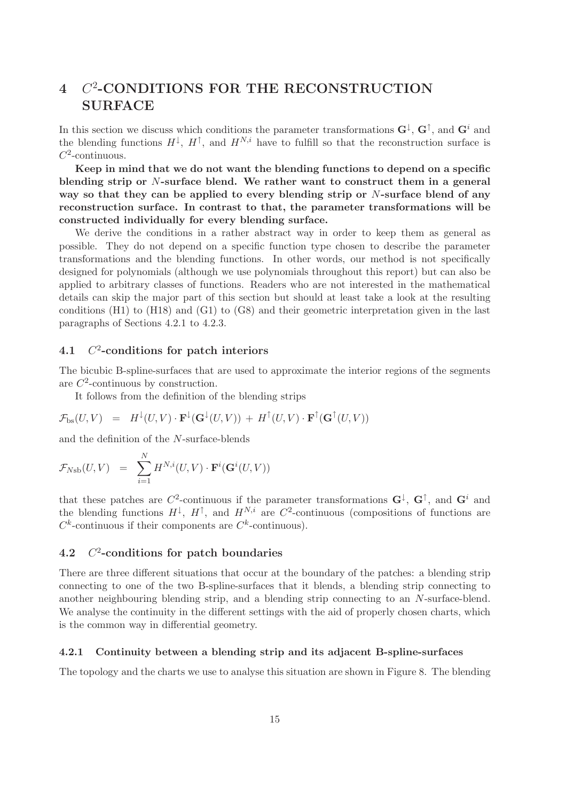# 4 C<sup>2</sup>-CONDITIONS FOR THE RECONSTRUCTION SURFACE

In this section we discuss which conditions the parameter transformations  $G^{\downarrow}$ ,  $G^{\uparrow}$ , and  $G^i$  and the blending functions  $H^{\downarrow}, H^{\uparrow}$ , and  $H^{N,i}$  have to fulfill so that the reconstruction surface is  $C^2$ -continuous.

Keep in mind that we do not want the blending functions to depend on a specific blending strip or N-surface blend. We rather want to construct them in a general way so that they can be applied to every blending strip or N-surface blend of any reconstruction surface. In contrast to that, the parameter transformations will be constructed individually for every blending surface.

We derive the conditions in a rather abstract way in order to keep them as general as possible. They do not depend on a specific function type chosen to describe the parameter transformations and the blending functions. In other words, our method is not specifically designed for polynomials (although we use polynomials throughout this report) but can also be applied to arbitrary classes of functions. Readers who are not interested in the mathematical details can skip the major part of this section but should at least take a look at the resulting conditions (H1) to (H18) and (G1) to (G8) and their geometric interpretation given in the last paragraphs of Sections 4.2.1 to 4.2.3.

#### $4.1$ <sup>2</sup>-conditions for patch interiors

The bicubic B-spline-surfaces that are used to approximate the interior regions of the segments are  $C^2$ -continuous by construction.

It follows from the definition of the blending strips

$$
\mathcal{F}_{\mathrm{bs}}(U,V) = H^{\downarrow}(U,V) \cdot \mathbf{F}^{\downarrow}(\mathbf{G}^{\downarrow}(U,V)) + H^{\uparrow}(U,V) \cdot \mathbf{F}^{\uparrow}(\mathbf{G}^{\uparrow}(U,V))
$$

and the definition of the N-surface-blends

$$
\mathcal{F}_{N\mathrm{sb}}(U,V) = \sum_{i=1}^{N} H^{N,i}(U,V) \cdot \mathbf{F}^i(\mathbf{G}^i(U,V))
$$

that these patches are  $C^2$ -continuous if the parameter transformations  $G^{\downarrow}$ ,  $G^{\uparrow}$ , and  $G^i$  and the blending functions  $H^{\downarrow}$ ,  $H^{\uparrow}$ , and  $H^{N,i}$  are  $C^2$ -continuous (compositions of functions are  $C^k$ -continuous if their components are  $C^k$ -continuous).

#### 4.2 C <sup>2</sup>-conditions for patch boundaries

There are three different situations that occur at the boundary of the patches: a blending strip connecting to one of the two B-spline-surfaces that it blends, a blending strip connecting to another neighbouring blending strip, and a blending strip connecting to an N-surface-blend. We analyse the continuity in the different settings with the aid of properly chosen charts, which is the common way in differential geometry.

### 4.2.1 Continuity between a blending strip and its adjacent B-spline-surfaces

The topology and the charts we use to analyse this situation are shown in Figure 8. The blending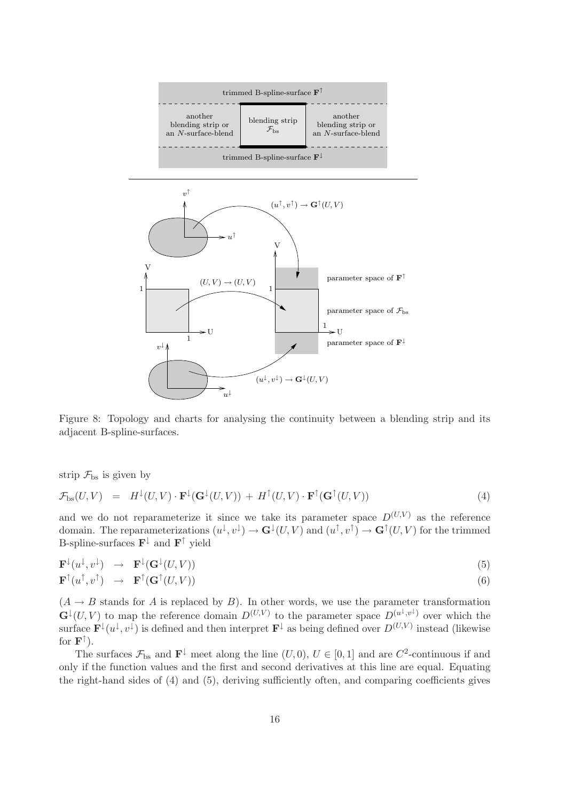

Figure 8: Topology and charts for analysing the continuity between a blending strip and its adjacent B-spline-surfaces.

strip  $\mathcal{F}_{\text{bs}}$  is given by

 $\mathbf{L}$ 

$$
\mathcal{F}_{\mathrm{bs}}(U,V) = H^{\downarrow}(U,V) \cdot \mathbf{F}^{\downarrow}(\mathbf{G}^{\downarrow}(U,V)) + H^{\uparrow}(U,V) \cdot \mathbf{F}^{\uparrow}(\mathbf{G}^{\uparrow}(U,V)) \tag{4}
$$

and we do not reparameterize it since we take its parameter space  $D^{(U,V)}$  as the reference domain. The reparameterizations  $(u^{\downarrow}, v^{\downarrow}) \to \mathbf{G}^{\downarrow}(U, V)$  and  $(u^{\uparrow}, v^{\uparrow}) \to \mathbf{G}^{\uparrow}(U, V)$  for the trimmed B-spline-surfaces  $\mathbf{F}^{\downarrow}$  and  $\mathbf{F}^{\uparrow}$  yield

$$
\mathbf{F}^{\downarrow}(u^{\downarrow}, v^{\downarrow}) \rightarrow \mathbf{F}^{\downarrow}(\mathbf{G}^{\downarrow}(U, V)) \n\mathbf{F}^{\uparrow}(u^{\uparrow}, v^{\uparrow}) \rightarrow \mathbf{F}^{\uparrow}(\mathbf{G}^{\uparrow}(U, V))
$$
\n(5)

 $(A \rightarrow B$  stands for A is replaced by B). In other words, we use the parameter transformation  $\mathbf{G}^{\downarrow}(U, V)$  to map the reference domain  $D^{(U,V)}$  to the parameter space  $D^{(u^{\downarrow}, v^{\downarrow})}$  over which the surface  $\mathbf{F}^{\downarrow}(u^{\downarrow},v^{\downarrow})$  is defined and then interpret  $\mathbf{F}^{\downarrow}$  as being defined over  $D^{(U,V)}$  instead (likewise for  $\mathbf{F}^{\uparrow}$ ).

The surfaces  $\mathcal{F}_{\text{bs}}$  and  $\mathbf{F}^{\downarrow}$  meet along the line  $(U, 0), U \in [0, 1]$  and are  $C^2$ -continuous if and only if the function values and the first and second derivatives at this line are equal. Equating the right-hand sides of (4) and (5), deriving sufficiently often, and comparing coefficients gives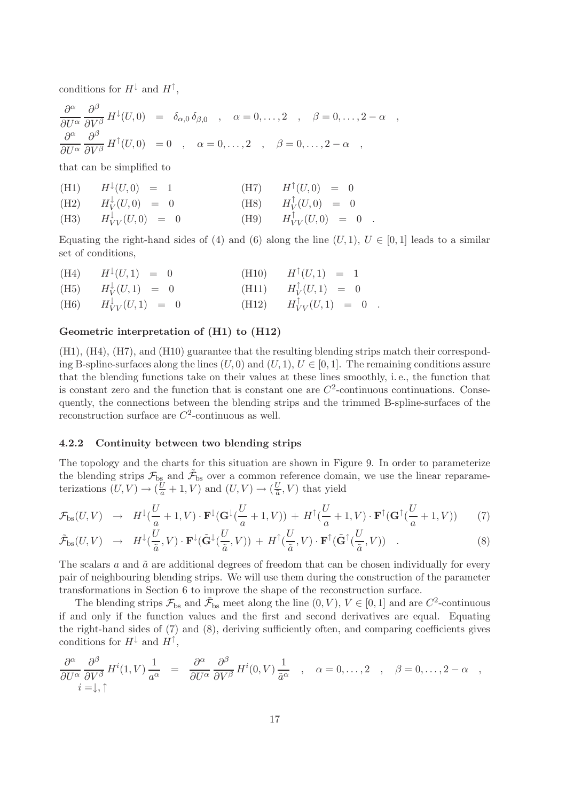conditions for  $H^{\downarrow}$  and  $H^{\uparrow}$ ,

$$
\frac{\partial^{\alpha}}{\partial U^{\alpha}} \frac{\partial^{\beta}}{\partial V^{\beta}} H^{\downarrow}(U,0) = \delta_{\alpha,0} \delta_{\beta,0} , \quad \alpha = 0, \ldots, 2 , \quad \beta = 0, \ldots, 2 - \alpha ,
$$
  

$$
\frac{\partial^{\alpha}}{\partial U^{\alpha}} \frac{\partial^{\beta}}{\partial V^{\beta}} H^{\uparrow}(U,0) = 0 , \quad \alpha = 0, \ldots, 2 , \quad \beta = 0, \ldots, 2 - \alpha ,
$$

that can be simplified to

| (H1) $H^{\downarrow}(U,0) = 1$      | $(H7)$ $H^{\uparrow}(U,0) = 0$      |
|-------------------------------------|-------------------------------------|
| (H2) $H_V^{\downarrow}(U,0) = 0$    | (H8) $H_V^{\uparrow}(U,0) = 0$      |
| (H3) $H_{VV}^{\downarrow}(U,0) = 0$ | (H9) $H_{VV}^{\uparrow}(U,0) = 0$ . |

Equating the right-hand sides of (4) and (6) along the line  $(U, 1)$ ,  $U \in [0, 1]$  leads to a similar set of conditions,

 $(H4)$  $H^{\downarrow}(U, 1) = 0$  (H10)  $H^{\uparrow}(U, 1) = 1$  $(H5)$ ↓  $V_V^{\downarrow}(U,1) = 0$  (H11) H ↑  $V(V,1) = 0$  $(H6)$  $V_V^{\downarrow}(U,1) = 0$  (H12) H  $V_V^{\uparrow}(U,1) = 0$ .

## Geometric interpretation of (H1) to (H12)

(H1), (H4), (H7), and (H10) guarantee that the resulting blending strips match their corresponding B-spline-surfaces along the lines  $(U, 0)$  and  $(U, 1), U \in [0, 1]$ . The remaining conditions assure that the blending functions take on their values at these lines smoothly, i. e., the function that is constant zero and the function that is constant one are  $C^2$ -continuous continuations. Consequently, the connections between the blending strips and the trimmed B-spline-surfaces of the reconstruction surface are  $C^2$ -continuous as well.

## 4.2.2 Continuity between two blending strips

The topology and the charts for this situation are shown in Figure 9. In order to parameterize the blending strips  $\mathcal{F}_{\text{bs}}$  and  $\tilde{\mathcal{F}}_{\text{bs}}$  over a common reference domain, we use the linear reparameterizations  $(U, V) \rightarrow (\frac{U}{a} + 1, V)$  and  $(U, V) \rightarrow (\frac{U}{\tilde{a}})$  $\frac{U}{\tilde{a}}$ , V) that yield

$$
\mathcal{F}_{\rm bs}(U,V) \rightarrow H^{\downarrow}(\frac{U}{a}+1,V) \cdot \mathbf{F}^{\downarrow}(\mathbf{G}^{\downarrow}(\frac{U}{a}+1,V)) + H^{\uparrow}(\frac{U}{a}+1,V) \cdot \mathbf{F}^{\uparrow}(\mathbf{G}^{\uparrow}(\frac{U}{a}+1,V)) \tag{7}
$$

$$
\tilde{\mathcal{F}}_{\mathrm{bs}}(U,V) \rightarrow H^{\downarrow}(\frac{U}{\tilde{a}},V) \cdot \mathbf{F}^{\downarrow}(\tilde{\mathbf{G}}^{\downarrow}(\frac{U}{\tilde{a}},V)) + H^{\uparrow}(\frac{U}{\tilde{a}},V) \cdot \mathbf{F}^{\uparrow}(\tilde{\mathbf{G}}^{\uparrow}(\frac{U}{\tilde{a}},V)) . \tag{8}
$$

The scalars  $\alpha$  and  $\tilde{\alpha}$  are additional degrees of freedom that can be chosen individually for every pair of neighbouring blending strips. We will use them during the construction of the parameter transformations in Section 6 to improve the shape of the reconstruction surface.

The blending strips  $\mathcal{F}_{bs}$  and  $\tilde{\mathcal{F}}_{bs}$  meet along the line  $(0, V), V \in [0, 1]$  and are  $C^2$ -continuous if and only if the function values and the first and second derivatives are equal. Equating the right-hand sides of (7) and (8), deriving sufficiently often, and comparing coefficients gives conditions for  $H^{\downarrow}$  and  $H^{\uparrow}$ ,

$$
\frac{\partial^{\alpha}}{\partial U^{\alpha}} \frac{\partial^{\beta}}{\partial V^{\beta}} H^{i}(1, V) \frac{1}{a^{\alpha}} = \frac{\partial^{\alpha}}{\partial U^{\alpha}} \frac{\partial^{\beta}}{\partial V^{\beta}} H^{i}(0, V) \frac{1}{\tilde{a}^{\alpha}} , \quad \alpha = 0, \dots, 2 , \quad \beta = 0, \dots, 2 - \alpha ,
$$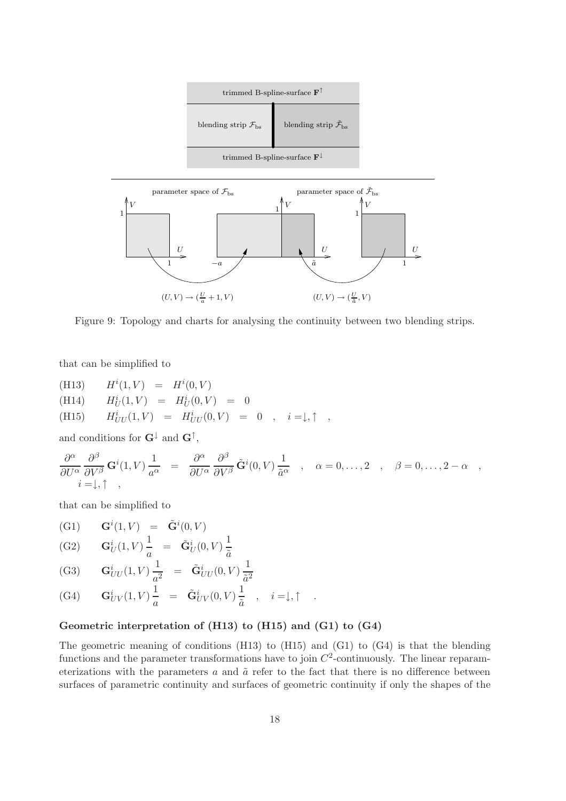

Figure 9: Topology and charts for analysing the continuity between two blending strips.

that can be simplified to

(H13) 
$$
H^{i}(1, V) = H^{i}(0, V)
$$
  
\n(H14)  $H^{i}_{U}(1, V) = H^{i}_{U}(0, V) = 0$   
\n(H15)  $H^{i}_{UU}(1, V) = H^{i}_{UU}(0, V) = 0$ ,  $i = \downarrow, \uparrow$ ,

and conditions for  $G^{\downarrow}$  and  $G^{\uparrow}$ ,

$$
\frac{\partial^{\alpha}}{\partial U^{\alpha}} \frac{\partial^{\beta}}{\partial V^{\beta}} \mathbf{G}^{i}(1, V) \frac{1}{a^{\alpha}} = \frac{\partial^{\alpha}}{\partial U^{\alpha}} \frac{\partial^{\beta}}{\partial V^{\beta}} \tilde{\mathbf{G}}^{i}(0, V) \frac{1}{\tilde{a}^{\alpha}} , \alpha = 0, \dots, 2 , \beta = 0, \dots, 2 - \alpha ,
$$

that can be simplified to

(G1) 
$$
\mathbf{G}^i(1, V) = \tilde{\mathbf{G}}^i(0, V)
$$
  
(G2)  $\mathbf{G}_U^i(1, V) \frac{1}{a} = \tilde{\mathbf{G}}_U^i(0, V) \frac{1}{\tilde{a}}$ 

(G3) 
$$
\mathbf{G}_{UU}^{i}(1, V) \frac{1}{a^2} = \tilde{\mathbf{G}}_{UU}^{i}(0, V) \frac{1}{\tilde{a}^2}
$$

(G4) 
$$
\mathbf{G}_{UV}^i(1, V) \frac{1}{a} = \tilde{\mathbf{G}}_{UV}^i(0, V) \frac{1}{\tilde{a}}, \quad i = \downarrow, \uparrow
$$
.

# Geometric interpretation of (H13) to (H15) and (G1) to (G4)

The geometric meaning of conditions (H13) to (H15) and (G1) to (G4) is that the blending functions and the parameter transformations have to join  $C^2$ -continuously. The linear reparameterizations with the parameters  $a$  and  $\tilde{a}$  refer to the fact that there is no difference between surfaces of parametric continuity and surfaces of geometric continuity if only the shapes of the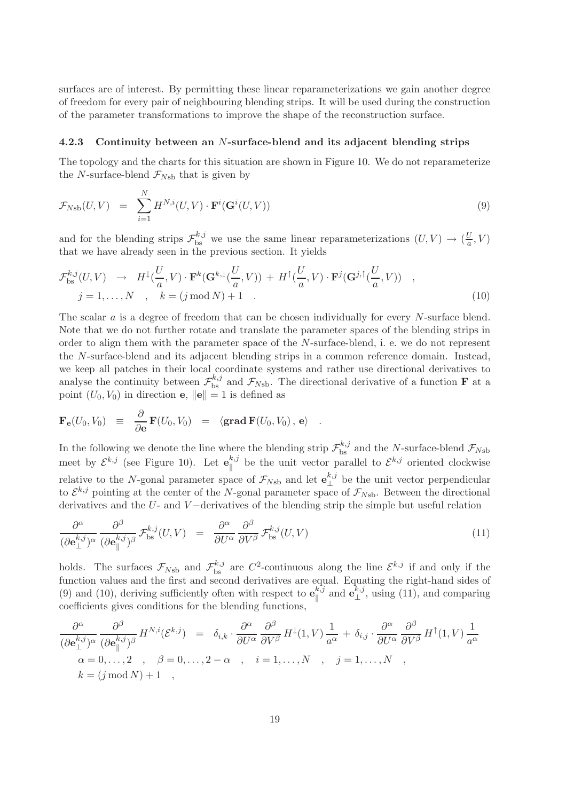surfaces are of interest. By permitting these linear reparameterizations we gain another degree of freedom for every pair of neighbouring blending strips. It will be used during the construction of the parameter transformations to improve the shape of the reconstruction surface.

#### 4.2.3 Continuity between an N-surface-blend and its adjacent blending strips

The topology and the charts for this situation are shown in Figure 10. We do not reparameterize the N-surface-blend  $\mathcal{F}_{N\text{sb}}$  that is given by

$$
\mathcal{F}_{Nsb}(U,V) = \sum_{i=1}^{N} H^{N,i}(U,V) \cdot \mathbf{F}^i(\mathbf{G}^i(U,V))
$$
\n(9)

and for the blending strips  $\mathcal{F}_{bs}^{k,j}$  we use the same linear reparameterizations  $(U, V) \to (\frac{U}{a})$  $\frac{U}{a}, V$ that we have already seen in the previous section. It yields

$$
\mathcal{F}_{\text{bs}}^{k,j}(U,V) \rightarrow H^{\downarrow}(\frac{U}{a},V) \cdot \mathbf{F}^{k}(\mathbf{G}^{k,\downarrow}(\frac{U}{a},V)) + H^{\uparrow}(\frac{U}{a},V) \cdot \mathbf{F}^{j}(\mathbf{G}^{j,\uparrow}(\frac{U}{a},V)) ,
$$
  
\n
$$
j = 1, ..., N , k = (j \mod N) + 1 .
$$
 (10)

The scalar a is a degree of freedom that can be chosen individually for every N-surface blend. Note that we do not further rotate and translate the parameter spaces of the blending strips in order to align them with the parameter space of the N-surface-blend, i. e. we do not represent the N-surface-blend and its adjacent blending strips in a common reference domain. Instead, we keep all patches in their local coordinate systems and rather use directional derivatives to analyse the continuity between  $\mathcal{F}_{bs}^{k,j}$  and  $\mathcal{F}_{Nsb}$ . The directional derivative of a function **F** at a point  $(U_0, V_0)$  in direction **e**,  $||\mathbf{e}|| = 1$  is defined as

$$
\mathbf{F}_\mathbf{e}(U_0,V_0) \;\; \equiv \;\; \frac{\partial}{\partial \mathbf{e}} \, \mathbf{F}(U_0,V_0) \;\; = \;\; \langle \mathbf{grad} \, \mathbf{F}(U_0,V_0) \, , \, \mathbf{e} \rangle \quad .
$$

In the following we denote the line where the blending strip  $\mathcal{F}_{bs}^{k,j}$  and the N-surface-blend  $\mathcal{F}_{Nsb}$ meet by  $\mathcal{E}^{k,j}$  (see Figure 10). Let  $\mathbf{e}_{\parallel}^{k,j}$  $\mathcal{E}_{\parallel}^{k,j}$  be the unit vector parallel to  $\mathcal{E}^{k,j}$  oriented clockwise relative to the N-gonal parameter space of  $\mathcal{F}_{N\text{sb}}$  and let  $\mathbf{e}_{\perp}^{k,j}$  $\mathcal{L}^{k,j}$  be the unit vector perpendicular to  $\mathcal{E}^{k,j}$  pointing at the center of the N-gonal parameter space of  $\mathcal{F}_{Nsb}$ . Between the directional derivatives and the U- and V −derivatives of the blending strip the simple but useful relation

$$
\frac{\partial^{\alpha}}{(\partial \mathbf{e}_{\perp}^{k,j})^{\alpha}} \frac{\partial^{\beta}}{(\partial \mathbf{e}_{\parallel}^{k,j})^{\beta}} \mathcal{F}_{\text{bs}}^{k,j}(U, V) = \frac{\partial^{\alpha}}{\partial U^{\alpha}} \frac{\partial^{\beta}}{\partial V^{\beta}} \mathcal{F}_{\text{bs}}^{k,j}(U, V) \tag{11}
$$

holds. The surfaces  $\mathcal{F}_{Nsb}$  and  $\mathcal{F}_{bs}^{k,j}$  are  $C^2$ -continuous along the line  $\mathcal{E}^{k,j}$  if and only if the function values and the first and second derivatives are equal. Equating the right-hand sides of (9) and (10), deriving sufficiently often with respect to  $\mathbf{e}_{\parallel}^{k,j}$  $\mathbf{e}^{k,j}_{\parallel}$  and  $\mathbf{e}^{k,j}_{\perp}$  $\mathcal{L}^{k,j}_{\perp}$ , using (11), and comparing coefficients gives conditions for the blending functions,

$$
\frac{\partial^{\alpha}}{(\partial \mathbf{e}_{\perp}^{k,j})^{\alpha}} \frac{\partial^{\beta}}{(\partial \mathbf{e}_{\parallel}^{k,j})^{\beta}} H^{N,i}(\mathcal{E}^{k,j}) = \delta_{i,k} \cdot \frac{\partial^{\alpha}}{\partial U^{\alpha}} \frac{\partial^{\beta}}{\partial V^{\beta}} H^{\downarrow}(1,V) \frac{1}{a^{\alpha}} + \delta_{i,j} \cdot \frac{\partial^{\alpha}}{\partial U^{\alpha}} \frac{\partial^{\beta}}{\partial V^{\beta}} H^{\uparrow}(1,V) \frac{1}{a^{\alpha}}
$$
  
\n $\alpha = 0, ..., 2 , \beta = 0, ..., 2 - \alpha , i = 1, ..., N , j = 1, ..., N ,$   
\n $k = (j \mod N) + 1 ,$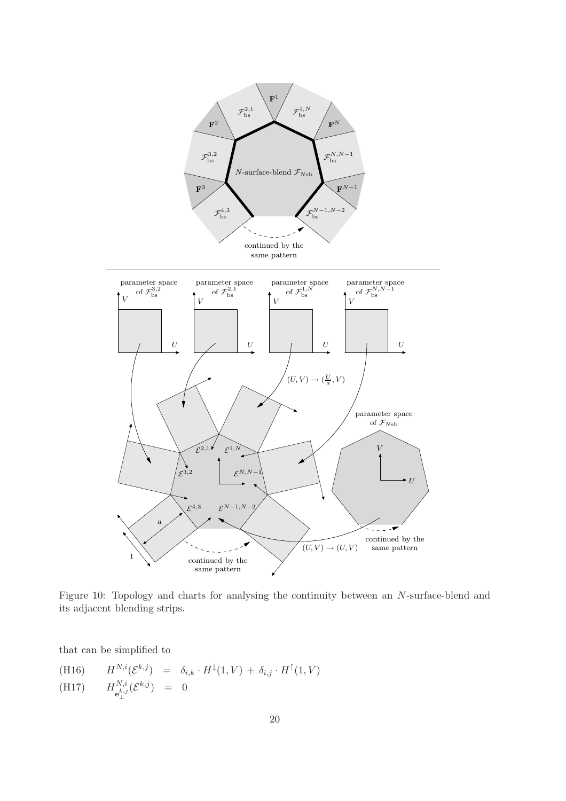

Figure 10: Topology and charts for analysing the continuity between an N-surface-blend and its adjacent blending strips.

that can be simplified to

(H16)  $H^{N,i}(\mathcal{E}^{k,j}) = \delta_{i,k} \cdot H^{\downarrow}(1,V) + \delta_{i,j} \cdot H^{\uparrow}(1,V)$  $(H17)$  $_{N,i}$  $e^{k,j}_{\perp}(\mathcal{E}^{k,j}) = 0$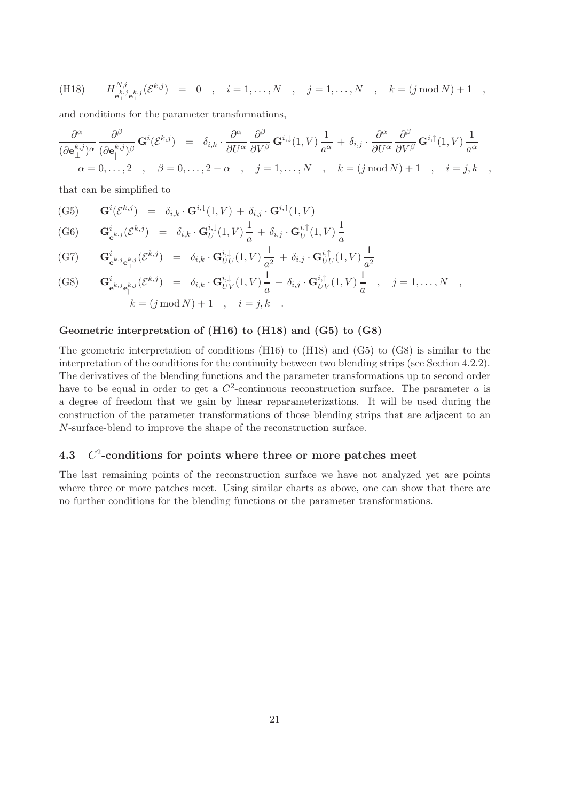(H18) 
$$
H^{N,i}_{e^{k,j}_\perp}(\mathcal{E}^{k,j}) = 0
$$
,  $i = 1,...,N$ ,  $j = 1,...,N$ ,  $k = (j \mod N) + 1$ ,

and conditions for the parameter transformations,

$$
\frac{\partial^{\alpha}}{(\partial \mathbf{e}_{\perp}^{k,j})^{\alpha}} \frac{\partial^{\beta}}{(\partial \mathbf{e}_{\parallel}^{k,j})^{\beta}} \mathbf{G}^{i}(\mathcal{E}^{k,j}) = \delta_{i,k} \cdot \frac{\partial^{\alpha}}{\partial U^{\alpha}} \frac{\partial^{\beta}}{\partial V^{\beta}} \mathbf{G}^{i,\downarrow}(1,V) \frac{1}{a^{\alpha}} + \delta_{i,j} \cdot \frac{\partial^{\alpha}}{\partial U^{\alpha}} \frac{\partial^{\beta}}{\partial V^{\beta}} \mathbf{G}^{i,\uparrow}(1,V) \frac{1}{a^{\alpha}} \alpha = 0, \ldots, 2 , \quad \beta = 0, \ldots, 2 - \alpha , \quad j = 1, \ldots, N , \quad k = (j \mod N) + 1 , \quad i = j, k ,
$$

that can be simplified to

(G5) 
$$
\mathbf{G}^{i}(\mathcal{E}^{k,j}) = \delta_{i,k} \cdot \mathbf{G}^{i,\downarrow}(1,V) + \delta_{i,j} \cdot \mathbf{G}^{i,\uparrow}(1,V)
$$
\n(G6) 
$$
\mathbf{G}^{i} = (\mathcal{E}^{k,j}) = \delta_{i,k} \cdot \mathbf{G}^{i,\downarrow}(1,V) \stackrel{1}{\rightarrow} \delta_{i,k} \mathbf{G}^{i,\uparrow}(1,V) \stackrel{1}{\rightarrow}
$$

(G6) 
$$
\mathbf{G}^{i}_{\mathbf{e}_{\perp}^{k,j}}(\mathcal{E}^{k,j}) = \delta_{i,k} \cdot \mathbf{G}^{i,\downarrow}_{U}(1,V) \frac{1}{a} + \delta_{i,j} \cdot \mathbf{G}^{i,\uparrow}_{U}(1,V) \frac{1}{a}
$$

$$
\begin{array}{cccc}\n\text{(G7)} & \mathbf{G}^i_{\mathbf{e}^{k,j}_{\perp}\mathbf{e}^{k,j}_{\perp}}(\mathcal{E}^{k,j}) & = & \delta_{i,k} \cdot \mathbf{G}^{i,\downarrow}_{UU}(1,V) \frac{1}{a^2} + \delta_{i,j} \cdot \mathbf{G}^{i,\uparrow}_{UU}(1,V) \frac{1}{a^2} \\
 & & & \\
\text{or} & & & \\
\text{or} & & & \\
\end{array}
$$

(G8) 
$$
\mathbf{G}^{i}_{\mathbf{e}_{\perp}^{k,j}\mathbf{e}_{\parallel}^{k,j}}(\mathcal{E}^{k,j}) = \delta_{i,k} \cdot \mathbf{G}^{i,\downarrow}_{UV}(1,V) \frac{1}{a} + \delta_{i,j} \cdot \mathbf{G}^{i,\uparrow}_{UV}(1,V) \frac{1}{a} , j = 1,...,N ,
$$
  
\n $k = (j \mod N) + 1 , i = j,k .$ 

## Geometric interpretation of (H16) to (H18) and (G5) to (G8)

The geometric interpretation of conditions (H16) to (H18) and (G5) to (G8) is similar to the interpretation of the conditions for the continuity between two blending strips (see Section 4.2.2). The derivatives of the blending functions and the parameter transformations up to second order have to be equal in order to get a  $C^2$ -continuous reconstruction surface. The parameter a is a degree of freedom that we gain by linear reparameterizations. It will be used during the construction of the parameter transformations of those blending strips that are adjacent to an N-surface-blend to improve the shape of the reconstruction surface.

#### 4.3 C 2 -conditions for points where three or more patches meet

The last remaining points of the reconstruction surface we have not analyzed yet are points where three or more patches meet. Using similar charts as above, one can show that there are no further conditions for the blending functions or the parameter transformations.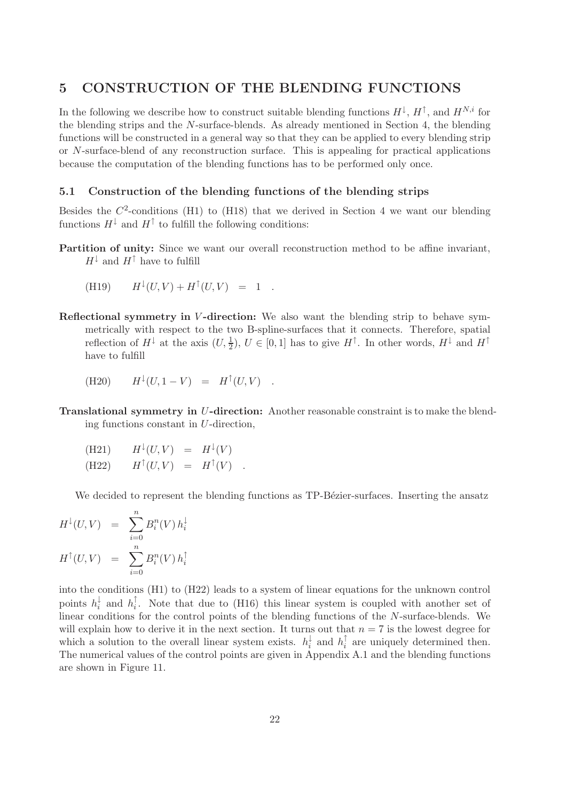# 5 CONSTRUCTION OF THE BLENDING FUNCTIONS

In the following we describe how to construct suitable blending functions  $H^{\downarrow}, H^{\uparrow}$ , and  $H^{N,i}$  for the blending strips and the N-surface-blends. As already mentioned in Section 4, the blending functions will be constructed in a general way so that they can be applied to every blending strip or N-surface-blend of any reconstruction surface. This is appealing for practical applications because the computation of the blending functions has to be performed only once.

# 5.1 Construction of the blending functions of the blending strips

Besides the  $C^2$ -conditions (H1) to (H18) that we derived in Section 4 we want our blending functions  $H^{\downarrow}$  and  $H^{\uparrow}$  to fulfill the following conditions:

Partition of unity: Since we want our overall reconstruction method to be affine invariant,  $H^{\downarrow}$  and  $H^{\uparrow}$  have to fulfill

(H19) 
$$
H^{\downarrow}(U,V) + H^{\uparrow}(U,V) = 1.
$$

Reflectional symmetry in V-direction: We also want the blending strip to behave symmetrically with respect to the two B-spline-surfaces that it connects. Therefore, spatial reflection of  $H^{\downarrow}$  at the axis  $(U, \frac{1}{2}), U \in [0, 1]$  has to give  $H^{\uparrow}$ . In other words,  $H^{\downarrow}$  and  $H^{\uparrow}$ have to fulfill

(H20) 
$$
H^{\downarrow}(U, 1 - V) = H^{\uparrow}(U, V)
$$

Translational symmetry in U-direction: Another reasonable constraint is to make the blending functions constant in U-direction,

(H21) 
$$
H^{\downarrow}(U,V) = H^{\downarrow}(V)
$$
  
(H22)  $H^{\uparrow}(U,V) = H^{\uparrow}(V)$ .

We decided to represent the blending functions as TP-Bézier-surfaces. Inserting the ansatz

$$
H^{\downarrow}(U, V) = \sum_{i=0}^{n} B_i^n(V) h_i^{\downarrow}
$$

$$
H^{\uparrow}(U, V) = \sum_{i=0}^{n} B_i^n(V) h_i^{\uparrow}
$$

into the conditions (H1) to (H22) leads to a system of linear equations for the unknown control points  $h_i^{\downarrow}$  $\frac{1}{i}$  and  $h_i^{\uparrow}$  $\cdot i$ . Note that due to (H16) this linear system is coupled with another set of linear conditions for the control points of the blending functions of the N-surface-blends. We will explain how to derive it in the next section. It turns out that  $n = 7$  is the lowest degree for which a solution to the overall linear system exists.  $h_i^{\downarrow}$  $\frac{1}{i}$  and  $h_i^{\uparrow}$  $\frac{1}{i}$  are uniquely determined then. The numerical values of the control points are given in Appendix A.1 and the blending functions are shown in Figure 11.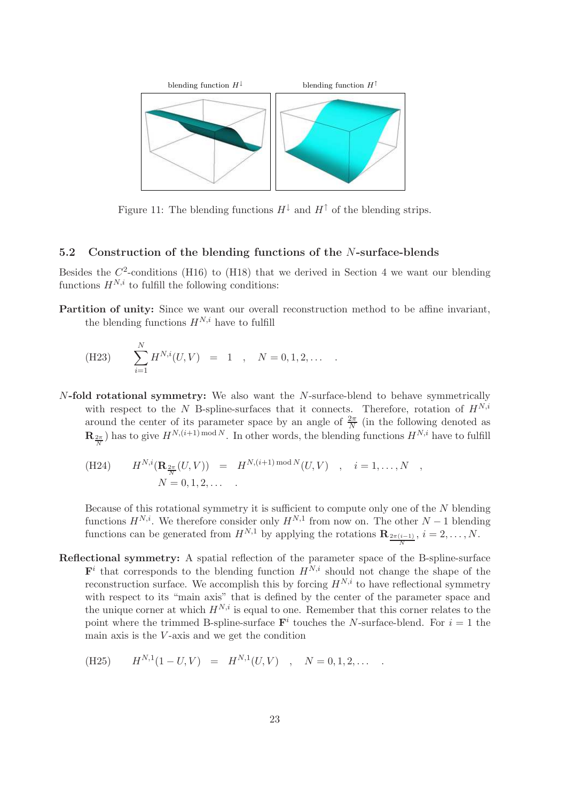

Figure 11: The blending functions  $H^{\downarrow}$  and  $H^{\uparrow}$  of the blending strips.

# 5.2 Construction of the blending functions of the N-surface-blends

Besides the  $C^2$ -conditions (H16) to (H18) that we derived in Section 4 we want our blending functions  $H^{N,i}$  to fulfill the following conditions:

Partition of unity: Since we want our overall reconstruction method to be affine invariant, the blending functions  $H^{N,i}$  have to fulfill

(H23) 
$$
\sum_{i=1}^{N} H^{N,i}(U,V) = 1, N = 0,1,2,...
$$

N-fold rotational symmetry: We also want the N-surface-blend to behave symmetrically with respect to the N B-spline-surfaces that it connects. Therefore, rotation of  $H^{N,i}$ around the center of its parameter space by an angle of  $\frac{2\pi}{N}$  (in the following denoted as  $\mathbf{R}_{\frac{2\pi}{N}}$ ) has to give  $H^{N,(i+1) \text{ mod } N}$ . In other words, the blending functions  $H^{N,i}$  have to fulfill

(H24) 
$$
H^{N,i}(\mathbf{R}_{\frac{2\pi}{N}}(U,V)) = H^{N,(i+1) \bmod N}(U,V) , i = 1,...,N ,
$$
  

$$
N = 0,1,2,... .
$$

Because of this rotational symmetry it is sufficient to compute only one of the  $N$  blending functions  $H^{N,i}$ . We therefore consider only  $H^{N,1}$  from now on. The other  $N-1$  blending functions can be generated from  $H^{N,1}$  by applying the rotations  $\mathbf{R}_{\frac{2\pi(i-1)}{N}}, i=2,\ldots,N.$ 

Reflectional symmetry: A spatial reflection of the parameter space of the B-spline-surface  $\mathbf{F}^i$  that corresponds to the blending function  $H^{N,i}$  should not change the shape of the reconstruction surface. We accomplish this by forcing  $H^{N,i}$  to have reflectional symmetry with respect to its "main axis" that is defined by the center of the parameter space and the unique corner at which  $H^{N,i}$  is equal to one. Remember that this corner relates to the point where the trimmed B-spline-surface  $\mathbf{F}^i$  touches the N-surface-blend. For  $i = 1$  the main axis is the  $V$ -axis and we get the condition

(H25) 
$$
H^{N,1}(1-U,V) = H^{N,1}(U,V)
$$
,  $N = 0,1,2,...$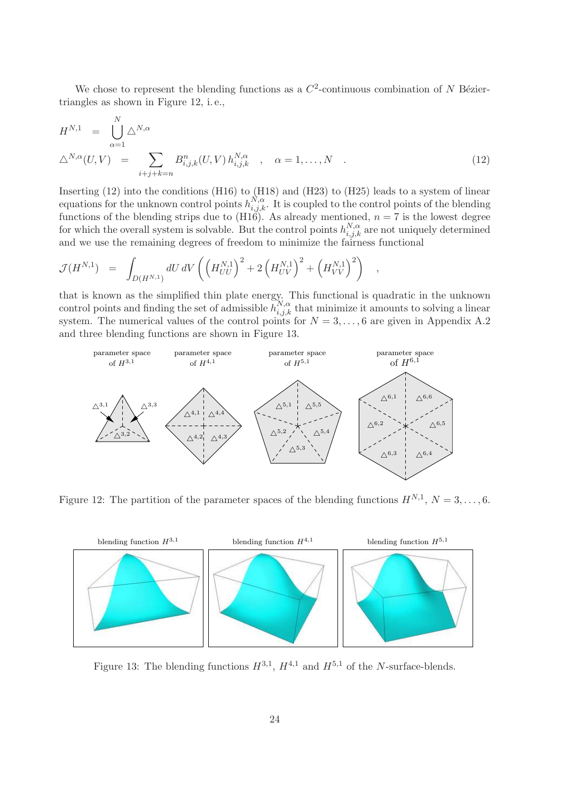We chose to represent the blending functions as a  $C^2$ -continuous combination of N Béziertriangles as shown in Figure 12, i. e.,

$$
H^{N,1} = \bigcup_{\alpha=1}^{N} \Delta^{N,\alpha} \n\Delta^{N,\alpha}(U,V) = \sum_{i+j+k=n} B^{n}_{i,j,k}(U,V) h^{N,\alpha}_{i,j,k} , \alpha = 1,...,N .
$$
\n(12)

Inserting (12) into the conditions (H16) to (H18) and (H23) to (H25) leads to a system of linear equations for the unknown control points  $h_{i,j,k}^{N,\alpha}$ . It is coupled to the control points of the blending functions of the blending strips due to (H16). As already mentioned,  $n = 7$  is the lowest degree for which the overall system is solvable. But the control points  $h_{i,j,k}^{N,\alpha}$  are not uniquely determined and we use the remaining degrees of freedom to minimize the fairness functional

$$
\mathcal{J}(H^{N,1}) = \int_{D(H^{N,1})} dU \, dV \left( \left( H_{UU}^{N,1} \right)^2 + 2 \left( H_{UV}^{N,1} \right)^2 + \left( H_{VV}^{N,1} \right)^2 \right) ,
$$

that is known as the simplified thin plate energy. This functional is quadratic in the unknown control points and finding the set of admissible  $h_{i,j,k}^{N,\alpha}$  that minimize it amounts to solving a linear system. The numerical values of the control points for  $N = 3, \ldots, 6$  are given in Appendix A.2 and three blending functions are shown in Figure 13.



Figure 12: The partition of the parameter spaces of the blending functions  $H^{N,1}$ ,  $N = 3, \ldots, 6$ .



Figure 13: The blending functions  $H^{3,1}$ ,  $H^{4,1}$  and  $H^{5,1}$  of the N-surface-blends.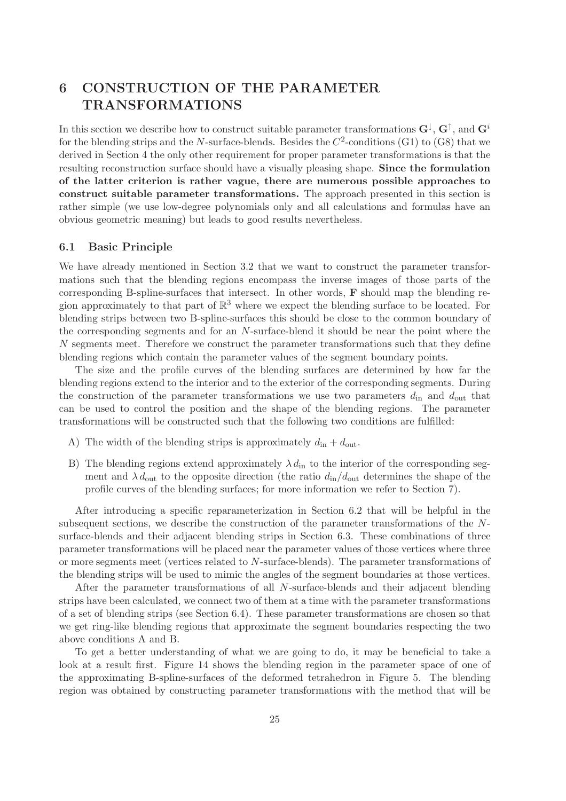# 6 CONSTRUCTION OF THE PARAMETER TRANSFORMATIONS

In this section we describe how to construct suitable parameter transformations  $G^{\downarrow}$ ,  $G^{\uparrow}$ , and  $G^i$ for the blending strips and the N-surface-blends. Besides the  $C^2$ -conditions (G1) to (G8) that we derived in Section 4 the only other requirement for proper parameter transformations is that the resulting reconstruction surface should have a visually pleasing shape. Since the formulation of the latter criterion is rather vague, there are numerous possible approaches to construct suitable parameter transformations. The approach presented in this section is rather simple (we use low-degree polynomials only and all calculations and formulas have an obvious geometric meaning) but leads to good results nevertheless.

# 6.1 Basic Principle

We have already mentioned in Section 3.2 that we want to construct the parameter transformations such that the blending regions encompass the inverse images of those parts of the corresponding B-spline-surfaces that intersect. In other words, F should map the blending region approximately to that part of  $\mathbb{R}^3$  where we expect the blending surface to be located. For blending strips between two B-spline-surfaces this should be close to the common boundary of the corresponding segments and for an N-surface-blend it should be near the point where the N segments meet. Therefore we construct the parameter transformations such that they define blending regions which contain the parameter values of the segment boundary points.

The size and the profile curves of the blending surfaces are determined by how far the blending regions extend to the interior and to the exterior of the corresponding segments. During the construction of the parameter transformations we use two parameters  $d_{\text{in}}$  and  $d_{\text{out}}$  that can be used to control the position and the shape of the blending regions. The parameter transformations will be constructed such that the following two conditions are fulfilled:

- A) The width of the blending strips is approximately  $d_{\text{in}} + d_{\text{out}}$ .
- B) The blending regions extend approximately  $\lambda d_{\text{in}}$  to the interior of the corresponding segment and  $\lambda d_{\text{out}}$  to the opposite direction (the ratio  $d_{\text{in}}/d_{\text{out}}$  determines the shape of the profile curves of the blending surfaces; for more information we refer to Section 7).

After introducing a specific reparameterization in Section 6.2 that will be helpful in the subsequent sections, we describe the construction of the parameter transformations of the Nsurface-blends and their adjacent blending strips in Section 6.3. These combinations of three parameter transformations will be placed near the parameter values of those vertices where three or more segments meet (vertices related to N-surface-blends). The parameter transformations of the blending strips will be used to mimic the angles of the segment boundaries at those vertices.

After the parameter transformations of all N-surface-blends and their adjacent blending strips have been calculated, we connect two of them at a time with the parameter transformations of a set of blending strips (see Section 6.4). These parameter transformations are chosen so that we get ring-like blending regions that approximate the segment boundaries respecting the two above conditions A and B.

To get a better understanding of what we are going to do, it may be beneficial to take a look at a result first. Figure 14 shows the blending region in the parameter space of one of the approximating B-spline-surfaces of the deformed tetrahedron in Figure 5. The blending region was obtained by constructing parameter transformations with the method that will be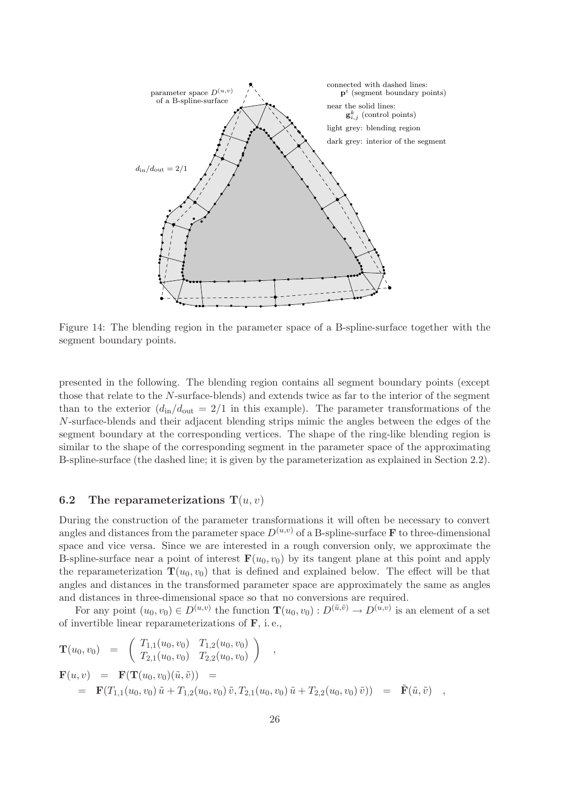

Figure 14: The blending region in the parameter space of a B-spline-surface together with the segment boundary points.

presented in the following. The blending region contains all segment boundary points (except those that relate to the N-surface-blends) and extends twice as far to the interior of the segment than to the exterior  $(d_{\text{in}}/d_{\text{out}} = 2/1$  in this example). The parameter transformations of the N-surface-blends and their adjacent blending strips mimic the angles between the edges of the segment boundary at the corresponding vertices. The shape of the ring-like blending region is similar to the shape of the corresponding segment in the parameter space of the approximating B-spline-surface (the dashed line; it is given by the parameterization as explained in Section 2.2).

# 6.2 The reparameterizations  $T(u, v)$

During the construction of the parameter transformations it will often be necessary to convert angles and distances from the parameter space  $D^{(u,v)}$  of a B-spline-surface **F** to three-dimensional space and vice versa. Since we are interested in a rough conversion only, we approximate the B-spline-surface near a point of interest  $\mathbf{F}(u_0,v_0)$  by its tangent plane at this point and apply the reparameterization  $\mathbf{T}(u_0,v_0)$  that is defined and explained below. The effect will be that angles and distances in the transformed parameter space are approximately the same as angles and distances in three-dimensional space so that no conversions are required.

For any point  $(u_0, v_0) \in D^{(u,v)}$  the function  $\mathbf{T}(u_0, v_0) : D^{(\tilde{u}, \tilde{v})} \to D^{(u,v)}$  is an element of a set of invertible linear reparameterizations of F, i. e.,

$$
\mathbf{T}(u_0, v_0) = \begin{pmatrix} T_{1,1}(u_0, v_0) & T_{1,2}(u_0, v_0) \\ T_{2,1}(u_0, v_0) & T_{2,2}(u_0, v_0) \end{pmatrix} ,
$$
  
\n
$$
\mathbf{F}(u, v) = \mathbf{F}(\mathbf{T}(u_0, v_0)(\tilde{u}, \tilde{v})) =
$$
  
\n
$$
= \mathbf{F}(T_{1,1}(u_0, v_0) \tilde{u} + T_{1,2}(u_0, v_0) \tilde{v}, T_{2,1}(u_0, v_0) \tilde{u} + T_{2,2}(u_0, v_0) \tilde{v}) = \tilde{\mathbf{F}}(\tilde{u}, \tilde{v}) ,
$$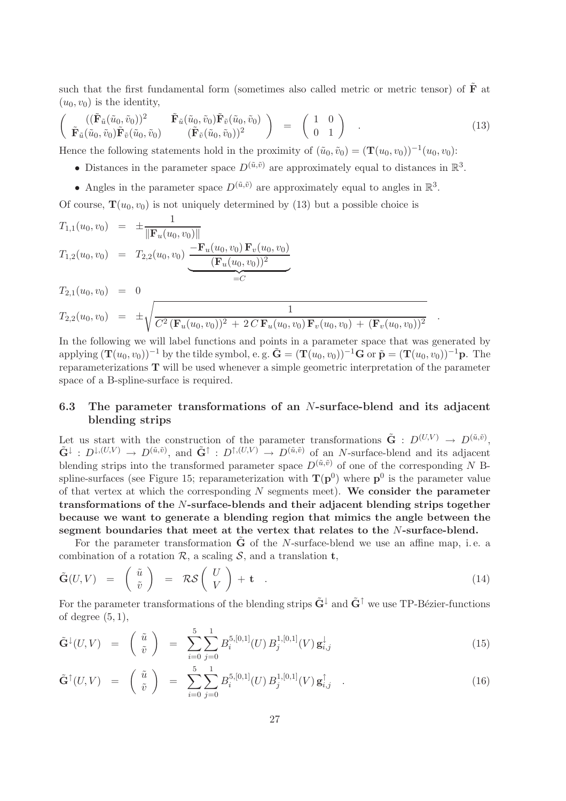such that the first fundamental form (sometimes also called metric or metric tensor) of  $\tilde{\mathbf{F}}$  at  $(u_0,v_0)$  is the identity,

$$
\begin{pmatrix}\n((\tilde{\mathbf{F}}_{\tilde{u}}(\tilde{u}_0, \tilde{v}_0))^2 & \tilde{\mathbf{F}}_{\tilde{u}}(\tilde{u}_0, \tilde{v}_0)\tilde{\mathbf{F}}_{\tilde{v}}(\tilde{u}_0, \tilde{v}_0) \\
\tilde{\mathbf{F}}_{\tilde{u}}(\tilde{u}_0, \tilde{v}_0)\tilde{\mathbf{F}}_{\tilde{v}}(\tilde{u}_0, \tilde{v}_0)\n\end{pmatrix} = \begin{pmatrix}\n1 & 0 \\
0 & 1\n\end{pmatrix} .
$$
\n(13)

Hence the following statements hold in the proximity of  $(\tilde{u}_0, \tilde{v}_0) = (\mathbf{T}(u_0, v_0))^{-1}(u_0, v_0)$ :

- Distances in the parameter space  $D^{(\tilde{u}, \tilde{v})}$  are approximately equal to distances in  $\mathbb{R}^3$ .
- Angles in the parameter space  $D^{(\tilde{u}, \tilde{v})}$  are approximately equal to angles in  $\mathbb{R}^3$ .

Of course,  $\mathbf{T}(u_0,v_0)$  is not uniquely determined by (13) but a possible choice is

$$
T_{1,1}(u_0, v_0) = \pm \frac{1}{\|\mathbf{F}_u(u_0, v_0)\|}
$$
  
\n
$$
T_{1,2}(u_0, v_0) = T_{2,2}(u_0, v_0) \underbrace{-\mathbf{F}_u(u_0, v_0) \mathbf{F}_v(u_0, v_0)}_{=C}
$$
  
\n
$$
T_{2,1}(u_0, v_0) = 0
$$
  
\n
$$
T_{2,2}(u_0, v_0) = \pm \sqrt{\frac{1}{C^2 (\mathbf{F}_u(u_0, v_0))^2 + 2 C \mathbf{F}_u(u_0, v_0) \mathbf{F}_v(u_0, v_0) + (\mathbf{F}_v(u_0, v_0))^2}
$$

In the following we will label functions and points in a parameter space that was generated by applying  $(\mathbf{T}(u_0,v_0))^{-1}$  by the tilde symbol, e. g.  $\tilde{\mathbf{G}} = (\mathbf{T}(u_0,v_0))^{-1}\mathbf{G}$  or  $\tilde{\mathbf{p}} = (\mathbf{T}(u_0,v_0))^{-1}\mathbf{p}$ . The reparameterizations T will be used whenever a simple geometric interpretation of the parameter space of a B-spline-surface is required.

.

# 6.3 The parameter transformations of an N-surface-blend and its adjacent blending strips

Let us start with the construction of the parameter transformations  $\tilde{\mathbf{G}}$  :  $D^{(U,V)} \to D^{(\tilde{u},\tilde{v})}$ ,  $\tilde{G}^{\downarrow} : D^{\downarrow,(U,V)} \to D^{(\tilde{u},\tilde{v})}$ , and  $\tilde{G}^{\uparrow} : D^{\uparrow,(U,V)} \to D^{(\tilde{u},\tilde{v})}$  of an N-surface-blend and its adjacent blending strips into the transformed parameter space  $D^{(\tilde{u},\tilde{v})}$  of one of the corresponding N Bspline-surfaces (see Figure 15; reparameterization with  $T(p^0)$  where  $p^0$  is the parameter value of that vertex at which the corresponding  $N$  segments meet). We consider the parameter transformations of the N-surface-blends and their adjacent blending strips together because we want to generate a blending region that mimics the angle between the segment boundaries that meet at the vertex that relates to the N-surface-blend.

For the parameter transformation  $\tilde{G}$  of the N-surface-blend we use an affine map, i.e. a combination of a rotation  $\mathcal{R}$ , a scaling  $\mathcal{S}$ , and a translation **t**,

$$
\tilde{\mathbf{G}}(U,V) = \begin{pmatrix} \tilde{u} \\ \tilde{v} \end{pmatrix} = \mathcal{RS}\begin{pmatrix} U \\ V \end{pmatrix} + \mathbf{t} \quad . \tag{14}
$$

For the parameter transformations of the blending strips  $\mathbf{G}^{\downarrow}$  and  $\mathbf{G}^{\uparrow}$  we use TP-Bézier-functions of degree  $(5, 1)$ ,

$$
\tilde{\mathbf{G}}^{\downarrow}(U,V) = \begin{pmatrix} \tilde{u} \\ \tilde{v} \end{pmatrix} = \sum_{i=0}^{5} \sum_{j=0}^{1} B_i^{5,[0,1]}(U) B_j^{1,[0,1]}(V) \mathbf{g}_{i,j}^{\downarrow}
$$
\n(15)

$$
\tilde{\mathbf{G}}^{\uparrow}(U,V) = \begin{pmatrix} \tilde{u} \\ \tilde{v} \end{pmatrix} = \sum_{i=0}^{5} \sum_{j=0}^{1} B_i^{5,[0,1]}(U) B_j^{1,[0,1]}(V) \mathbf{g}_{i,j}^{\uparrow} . \qquad (16)
$$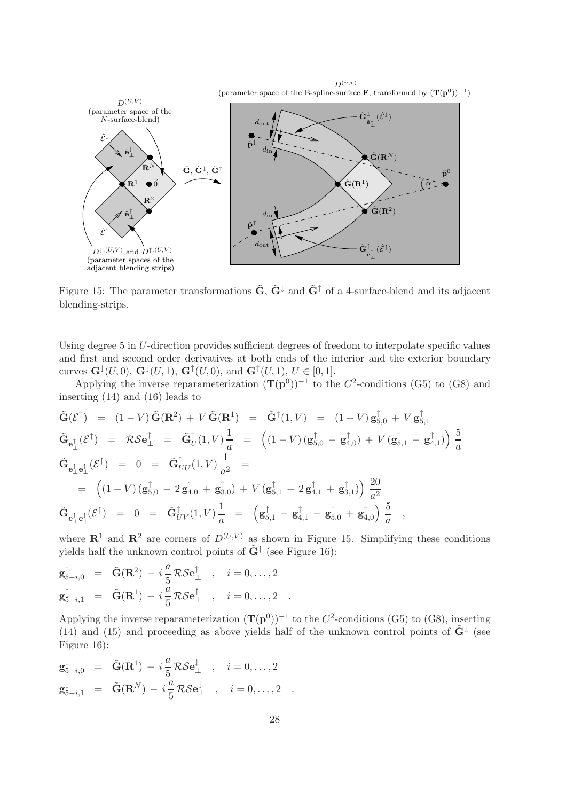

Figure 15: The parameter transformations  $\tilde{G}$ ,  $\tilde{G}^{\downarrow}$  and  $\tilde{G}^{\uparrow}$  of a 4-surface-blend and its adjacent blending-strips.

Using degree 5 in U-direction provides sufficient degrees of freedom to interpolate specific values and first and second order derivatives at both ends of the interior and the exterior boundary curves  $\mathbf{G}^{\downarrow}(U,0)$ ,  $\mathbf{G}^{\downarrow}(U,1)$ ,  $\mathbf{G}^{\uparrow}(U,0)$ , and  $\mathbf{G}^{\uparrow}(U,1)$ ,  $U \in [0,1]$ .

Applying the inverse reparameterization  $(\mathbf{T}(\mathbf{p}^0))^{-1}$  to the  $C^2$ -conditions (G5) to (G8) and inserting (14) and (16) leads to

$$
\tilde{\mathbf{G}}(\mathcal{E}^{\dagger}) = (1 - V)\tilde{\mathbf{G}}(\mathbf{R}^{2}) + V\tilde{\mathbf{G}}(\mathbf{R}^{1}) = \tilde{\mathbf{G}}^{\dagger}(1, V) = (1 - V)\mathbf{g}_{5,0}^{\dagger} + V\mathbf{g}_{5,1}^{\dagger}
$$
\n
$$
\tilde{\mathbf{G}}_{\mathbf{e}_{\perp}^{\dagger}}(\mathcal{E}^{\dagger}) = \mathcal{R}\mathcal{S}\mathbf{e}_{\perp}^{\dagger} = \tilde{\mathbf{G}}_{U}^{\dagger}(1, V)\frac{1}{a} = ((1 - V)(\mathbf{g}_{5,0}^{\dagger} - \mathbf{g}_{4,0}^{\dagger}) + V(\mathbf{g}_{5,1}^{\dagger} - \mathbf{g}_{4,1}^{\dagger}))\frac{5}{a}
$$
\n
$$
\tilde{\mathbf{G}}_{\mathbf{e}_{\perp}^{\dagger}\mathbf{e}_{\perp}^{\dagger}}(\mathcal{E}^{\dagger}) = 0 = \tilde{\mathbf{G}}_{UU}^{\dagger}(1, V)\frac{1}{a^{2}} =
$$
\n
$$
= ((1 - V)(\mathbf{g}_{5,0}^{\dagger} - 2\mathbf{g}_{4,0}^{\dagger} + \mathbf{g}_{3,0}^{\dagger}) + V(\mathbf{g}_{5,1}^{\dagger} - 2\mathbf{g}_{4,1}^{\dagger} + \mathbf{g}_{3,1}^{\dagger}))\frac{20}{a^{2}}
$$
\n
$$
\tilde{\mathbf{G}}_{\mathbf{e}_{\perp}^{\dagger}\mathbf{e}_{\parallel}^{\dagger}}(\mathcal{E}^{\dagger}) = 0 = \tilde{\mathbf{G}}_{UV}^{\dagger}(1, V)\frac{1}{a} = (\mathbf{g}_{5,1}^{\dagger} - \mathbf{g}_{4,1}^{\dagger} - \mathbf{g}_{5,0}^{\dagger} + \mathbf{g}_{4,0}^{\dagger})\frac{5}{a} ,
$$

where  $\mathbb{R}^1$  and  $\mathbb{R}^2$  are corners of  $D^{(U,V)}$  as shown in Figure 15. Simplifying these conditions yields half the unknown control points of  $\tilde{G}^{\uparrow}$  (see Figure 16):

$$
\mathbf{g}_{5-i,0}^{\uparrow} = \tilde{\mathbf{G}}(\mathbf{R}^{2}) - i \frac{a}{5} \mathcal{R} \mathcal{S} \mathbf{e}_{\perp}^{\uparrow} , \quad i = 0, \ldots, 2
$$
  

$$
\mathbf{g}_{5-i,1}^{\uparrow} = \tilde{\mathbf{G}}(\mathbf{R}^{1}) - i \frac{a}{5} \mathcal{R} \mathcal{S} \mathbf{e}_{\perp}^{\uparrow} , \quad i = 0, \ldots, 2 .
$$

Applying the inverse reparameterization  $(\mathbf{T}(\mathbf{p}^0))^{-1}$  to the  $C^2$ -conditions (G5) to (G8), inserting (14) and (15) and proceeding as above yields half of the unknown control points of  $\tilde{G}^{\downarrow}$  (see Figure 16):

$$
\mathbf{g}_{5-i,0}^{\downarrow} = \tilde{\mathbf{G}}(\mathbf{R}^{1}) - i\frac{a}{5}\mathcal{R}\mathcal{S}\mathbf{e}_{\perp}^{\downarrow} , i = 0,...,2
$$
  

$$
\mathbf{g}_{5-i,1}^{\downarrow} = \tilde{\mathbf{G}}(\mathbf{R}^{N}) - i\frac{a}{5}\mathcal{R}\mathcal{S}\mathbf{e}_{\perp}^{\downarrow} , i = 0,...,2 .
$$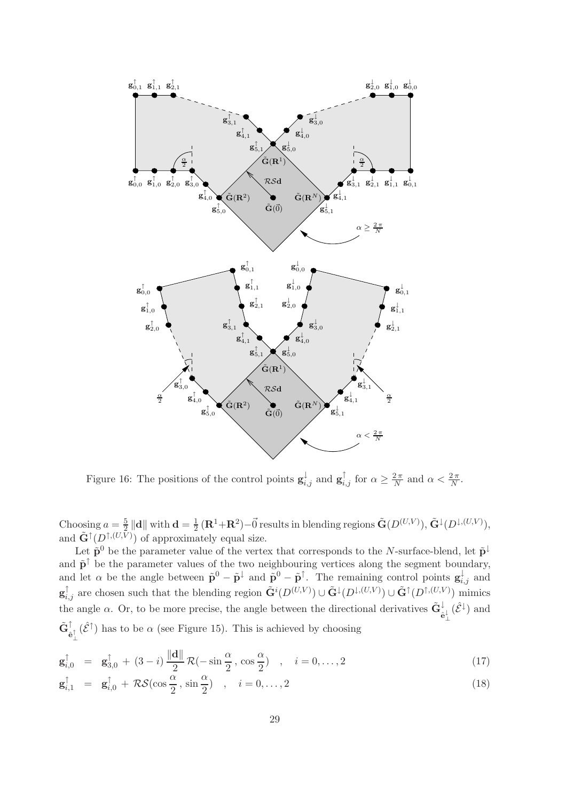

Figure 16: The positions of the control points  $\mathbf{g}_{i,j}^{\downarrow}$  and  $\mathbf{g}_{i,j}^{\uparrow}$  for  $\alpha \geq \frac{2\pi}{N}$  and  $\alpha < \frac{2\pi}{N}$ .

Choosing  $a=\frac{5}{2}$  $\frac{5}{2}\left\Vert \mathbf{d}\right\Vert$  with  $\mathbf{d}=\frac{1}{2}$  $\frac{1}{2}$  (**R**<sup>1</sup>+**R**<sup>2</sup>)– $\vec{0}$  results in blending regions  $\tilde{\mathbf{G}}(D^{(U,V)}), \tilde{\mathbf{G}}^{\downarrow}(D^{\downarrow,(U,V)}),$ and  $\tilde{\mathbf{G}}^{\uparrow}(D^{\uparrow,(U,\bar{V})})$  of approximately equal size.

Let  $\tilde{\mathbf{p}}^0$  be the parameter value of the vertex that corresponds to the N-surface-blend, let  $\tilde{\mathbf{p}}^{\downarrow}$ and  $\tilde{p}^{\uparrow}$  be the parameter values of the two neighbouring vertices along the segment boundary, and let  $\alpha$  be the angle between  $\tilde{\mathbf{p}}^0 - \tilde{\mathbf{p}}^{\dagger}$  and  $\tilde{\mathbf{p}}^0 - \tilde{\mathbf{p}}^{\dagger}$ . The remaining control points  $\mathbf{g}_{i,j}^{\dagger}$  and  $\mathbf{g}_{i,j}^{\uparrow}$  are chosen such that the blending region  $\tilde{\mathbf{G}}^{i}(D^{(U,V)}) \cup \tilde{\mathbf{G}}^{j}(D^{ \downarrow,(U,V)}) \cup \tilde{\mathbf{G}}^{ \uparrow}(D^{ \uparrow,(U,V)})$  mimics the angle  $\alpha$ . Or, to be more precise, the angle between the directional derivatives  $\tilde{\mathbf{G}}_{\hat{\mathbf{e}}^{\perp}_{\perp}}^{\downarrow}(\hat{\mathcal{E}}^{\downarrow})$  and  $\tilde{\mathbf{G}}_{\hat{\mathbf{e}}^{\uparrow}_{\perp}}^{\uparrow}(\hat{\mathcal{E}}^{\uparrow})$  has to be  $\alpha$  (see Figure 15). This is achieved by choosing

$$
\mathbf{g}_{i,0}^{\uparrow} = \mathbf{g}_{3,0}^{\uparrow} + (3-i) \frac{\|\mathbf{d}\|}{2} \mathcal{R}(-\sin\frac{\alpha}{2}, \cos\frac{\alpha}{2}) , \quad i = 0,\dots,2
$$
 (17)

$$
\mathbf{g}_{i,1}^{\uparrow} = \mathbf{g}_{i,0}^{\uparrow} + \mathcal{R} \mathcal{S} (\cos \frac{\alpha}{2}, \sin \frac{\alpha}{2}) , \quad i = 0, \dots, 2
$$
 (18)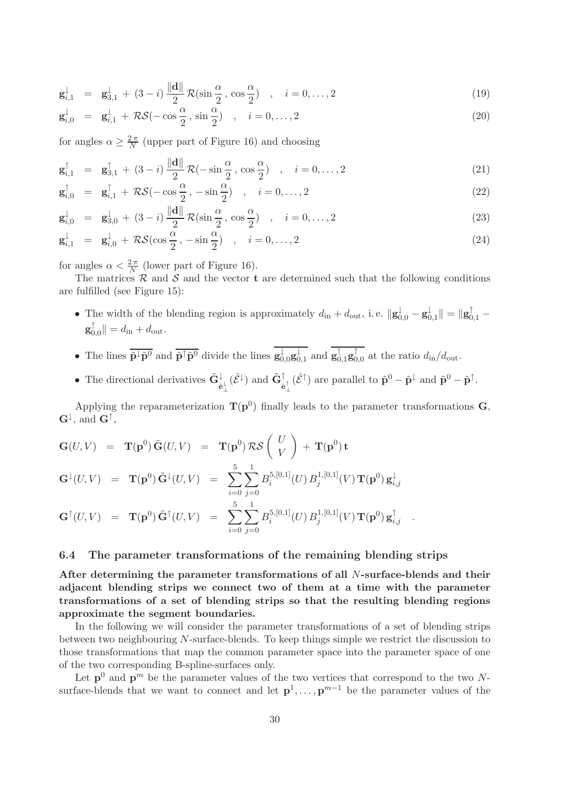$$
\mathbf{g}_{i,1}^{\downarrow} = \mathbf{g}_{3,1}^{\downarrow} + (3-i) \frac{\|\mathbf{d}\|}{2} \mathcal{R}(\sin\frac{\alpha}{2}, \cos\frac{\alpha}{2}) , \quad i = 0,\dots,2
$$
 (19)

$$
\mathbf{g}_{i,0}^{\downarrow} = \mathbf{g}_{i,1}^{\downarrow} + \mathcal{RS}(-\cos\frac{\alpha}{2}, \sin\frac{\alpha}{2}) , \quad i = 0,\dots,2
$$
 (20)

for angles  $\alpha \geq \frac{2\pi}{N}$  $\frac{2\pi}{N}$  (upper part of Figure 16) and choosing

$$
\mathbf{g}_{i,1}^{\uparrow} = \mathbf{g}_{3,1}^{\uparrow} + (3-i) \frac{\|\mathbf{d}\|}{2} \mathcal{R}(-\sin\frac{\alpha}{2}, \cos\frac{\alpha}{2}) , \quad i = 0,\dots, 2
$$
 (21)

$$
\mathbf{g}_{i,0}^{\uparrow} = \mathbf{g}_{i,1}^{\uparrow} + \mathcal{RS}(-\cos\frac{\alpha}{2}, -\sin\frac{\alpha}{2}) \quad , \quad i = 0,\dots,2
$$
 (22)

$$
\mathbf{g}_{i,0}^{\downarrow} = \mathbf{g}_{3,0}^{\downarrow} + (3-i) \frac{\|\mathbf{d}\|}{2} \mathcal{R}(\sin\frac{\alpha}{2}, \cos\frac{\alpha}{2}) , \quad i = 0,\dots,2
$$
 (23)

$$
\mathbf{g}_{i,1}^{\downarrow} = \mathbf{g}_{i,0}^{\downarrow} + \mathcal{R} \mathcal{S} (\cos \frac{\alpha}{2}, -\sin \frac{\alpha}{2}) \quad , \quad i = 0, \dots, 2 \tag{24}
$$

for angles  $\alpha < \frac{2\pi}{N}$  (lower part of Figure 16).

The matrices  $\mathcal R$  and  $\mathcal S$  and the vector **t** are determined such that the following conditions are fulfilled (see Figure 15):

- The width of the blending region is approximately  $d_{\text{in}} + d_{\text{out}}$ , i.e.  $\|\mathbf{g}_{0,0}^{\downarrow} \mathbf{g}_{0}^{\downarrow}\|$  $\downarrow\atop 0,1}\|= \|\mathbf{g}_{0,1}^{\uparrow}\> \mathbf{g}^{\uparrow}_0$  $\vert_{0,0}^{0} \vert \vert = d_{\text{in}} + d_{\text{out}}.$
- The lines  $\overline{\tilde{\mathbf{p}}^{\downarrow} \tilde{\mathbf{p}}^0}$  and  $\overline{\tilde{\mathbf{p}}^{\uparrow} \tilde{\mathbf{p}}^0}$  divide the lines  $\mathbf{g}^{\downarrow}_{0,0} \mathbf{g}^{\downarrow}_0$  $_{0,1}^{\downarrow}$  and  $\mathbf{g}_{0,1}^{\uparrow}\mathbf{g}_{0}^{\uparrow}$  $_{0,0}^{1}$  at the ratio  $d_{\text{in}}/d_{\text{out}}$ .
- The directional derivatives  $\tilde{G}^{\downarrow}_{\hat{e}^{\downarrow}_{\perp}}(\hat{\mathcal{E}}^{\downarrow})$  and  $\tilde{G}^{\uparrow}_{\hat{e}^{\uparrow}_{\perp}}(\hat{\mathcal{E}}^{\uparrow})$  are parallel to  $\tilde{p}^0 \tilde{p}^{\downarrow}$  and  $\tilde{p}^0 \tilde{p}^{\uparrow}$ .

Applying the reparameterization  $T(p^0)$  finally leads to the parameter transformations G,  $\mathbf{G}^{\downarrow}$ , and  $\mathbf{G}^{\uparrow}$ ,

$$
\mathbf{G}(U,V) = \mathbf{T}(\mathbf{p}^0) \tilde{\mathbf{G}}(U,V) = \mathbf{T}(\mathbf{p}^0) \mathcal{RS} \begin{pmatrix} U \\ V \end{pmatrix} + \mathbf{T}(\mathbf{p}^0) \mathbf{t}
$$
  
\n
$$
\mathbf{G}^{\downarrow}(U,V) = \mathbf{T}(\mathbf{p}^0) \tilde{\mathbf{G}}^{\downarrow}(U,V) = \sum_{i=0}^{5} \sum_{j=0}^{1} B_i^{5,[0,1]}(U) B_j^{1,[0,1]}(V) \mathbf{T}(\mathbf{p}^0) \mathbf{g}_{i,j}^{\downarrow}
$$
  
\n
$$
\mathbf{G}^{\uparrow}(U,V) = \mathbf{T}(\mathbf{p}^0) \tilde{\mathbf{G}}^{\uparrow}(U,V) = \sum_{i=0}^{5} \sum_{j=0}^{1} B_i^{5,[0,1]}(U) B_j^{1,[0,1]}(V) \mathbf{T}(\mathbf{p}^0) \mathbf{g}_{i,j}^{\uparrow}.
$$

# 6.4 The parameter transformations of the remaining blending strips

After determining the parameter transformations of all N-surface-blends and their adjacent blending strips we connect two of them at a time with the parameter transformations of a set of blending strips so that the resulting blending regions approximate the segment boundaries.

In the following we will consider the parameter transformations of a set of blending strips between two neighbouring N-surface-blends. To keep things simple we restrict the discussion to those transformations that map the common parameter space into the parameter space of one of the two corresponding B-spline-surfaces only.

Let  $p^0$  and  $p^m$  be the parameter values of the two vertices that correspond to the two Nsurface-blends that we want to connect and let  $p^1, \ldots, p^{m-1}$  be the parameter values of the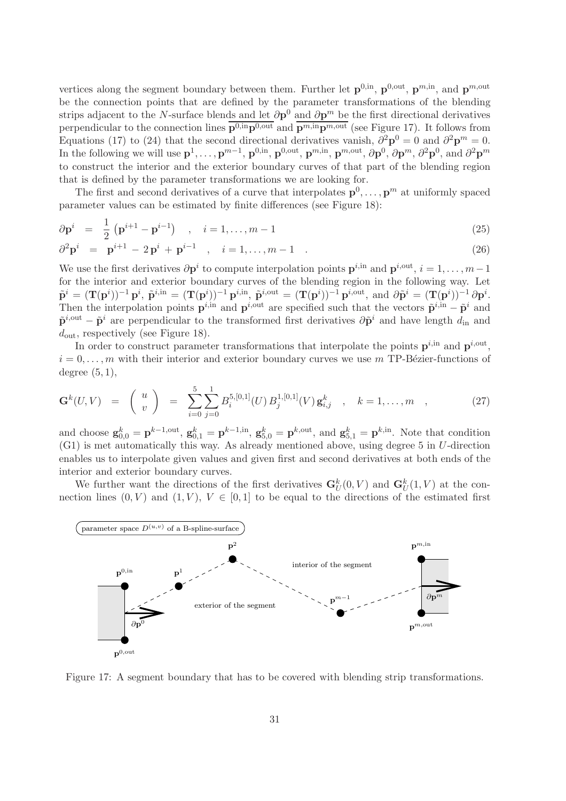vertices along the segment boundary between them. Further let  $\mathbf{p}^{0,in}$ ,  $\mathbf{p}^{0,out}$ ,  $\mathbf{p}^{m,in}$ , and  $\mathbf{p}^{m,out}$ be the connection points that are defined by the parameter transformations of the blending strips adjacent to the N-surface blends and let  $\partial p^0$  and  $\partial p^m$  be the first directional derivatives perpendicular to the connection lines  $p^{0,in}p^{0,out}$  and  $p^{m,in}p^{m,out}$  (see Figure 17). It follows from Equations (17) to (24) that the second directional derivatives vanish,  $\partial^2 \mathbf{p}^0 = 0$  and  $\partial^2 \mathbf{p}^m = 0$ . In the following we will use  $\mathbf{p}^1, \ldots, \mathbf{p}^{m-1}, \mathbf{p}^{0, \text{in}}, \mathbf{p}^{0, \text{out}}, \mathbf{p}^{m, \text{in}}, \mathbf{p}^{m, \text{out}}, \partial \mathbf{p}^0, \partial \mathbf{p}^m, \partial^2 \mathbf{p}^0$ , and  $\partial^2 \mathbf{p}^m$ to construct the interior and the exterior boundary curves of that part of the blending region that is defined by the parameter transformations we are looking for.

The first and second derivatives of a curve that interpolates  $\mathbf{p}^0, \ldots, \mathbf{p}^m$  at uniformly spaced parameter values can be estimated by finite differences (see Figure 18):

$$
\partial \mathbf{p}^{i} = \frac{1}{2} \left( \mathbf{p}^{i+1} - \mathbf{p}^{i-1} \right) , \quad i = 1, ..., m-1
$$
 (25)

$$
\partial^2 \mathbf{p}^i = \mathbf{p}^{i+1} - 2\mathbf{p}^i + \mathbf{p}^{i-1} , \quad i = 1, ..., m-1 . \tag{26}
$$

We use the first derivatives  $\partial \mathbf{p}^i$  to compute interpolation points  $\mathbf{p}^{i, \text{in}}$  and  $\mathbf{p}^{i, \text{out}}$ ,  $i = 1, \dots, m-1$ for the interior and exterior boundary curves of the blending region in the following way. Let  $\tilde{\mathbf{p}}^i = (\mathbf{T}(\mathbf{p}^i))^{-1} \mathbf{p}^i$ ,  $\tilde{\mathbf{p}}^{i, \text{in}} = (\mathbf{T}(\mathbf{p}^i))^{-1} \mathbf{p}^{i, \text{out}} = (\mathbf{T}(\mathbf{p}^i))^{-1} \mathbf{p}^{i, \text{out}}$ , and  $\partial \tilde{\mathbf{p}}^i = (\mathbf{T}(\mathbf{p}^i))^{-1} \partial \mathbf{p}^i$ . Then the interpolation points  $\mathbf{p}^{i,in}$  and  $\mathbf{p}^{i,out}$  are specified such that the vectors  $\tilde{\mathbf{p}}^{i,in} - \tilde{\mathbf{p}}^i$  and  $\tilde{\mathbf{p}}^{i,out} - \tilde{\mathbf{p}}^i$  are perpendicular to the transformed first derivatives  $\partial \tilde{\mathbf{p}}^i$  and have length  $d_{\text{in}}$  and  $d_{\text{out}}$ , respectively (see Figure 18).

In order to construct parameter transformations that interpolate the points  $\mathbf{p}^{i, \text{in}}$  and  $\mathbf{p}^{i, \text{out}}$ ,  $i = 0, \ldots, m$  with their interior and exterior boundary curves we use m TP-Bézier-functions of degree  $(5, 1)$ ,

$$
\mathbf{G}^{k}(U,V) = \begin{pmatrix} u \\ v \end{pmatrix} = \sum_{i=0}^{5} \sum_{j=0}^{1} B_{i}^{5,[0,1]}(U) B_{j}^{1,[0,1]}(V) \mathbf{g}_{i,j}^{k} , \quad k = 1, ..., m , \qquad (27)
$$

and choose  $\mathbf{g}_{0,0}^k = \mathbf{p}^{k-1,\text{out}}, \mathbf{g}_{0,1}^k = \mathbf{p}^{k-1,\text{in}}, \mathbf{g}_{5,0}^k = \mathbf{p}^{k,\text{out}},$  and  $\mathbf{g}_{5,1}^k = \mathbf{p}^{k,\text{in}}$ . Note that condition (G1) is met automatically this way. As already mentioned above, using degree 5 in U-direction enables us to interpolate given values and given first and second derivatives at both ends of the interior and exterior boundary curves.

We further want the directions of the first derivatives  $\mathbf{G}_U^k(0,V)$  and  $\mathbf{G}_U^k(1,V)$  at the connection lines  $(0, V)$  and  $(1, V)$ ,  $V \in [0, 1]$  to be equal to the directions of the estimated first



Figure 17: A segment boundary that has to be covered with blending strip transformations.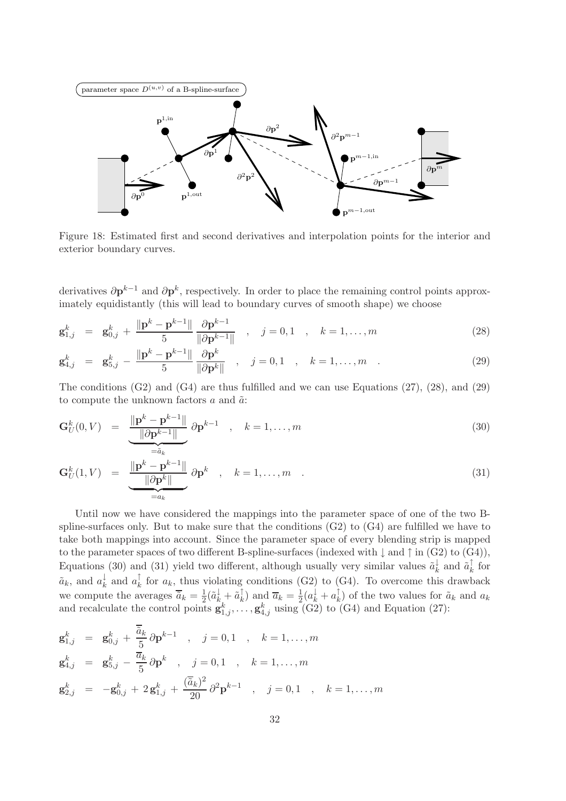

Figure 18: Estimated first and second derivatives and interpolation points for the interior and exterior boundary curves.

derivatives  $\partial \mathbf{p}^{k-1}$  and  $\partial \mathbf{p}^k$ , respectively. In order to place the remaining control points approximately equidistantly (this will lead to boundary curves of smooth shape) we choose

$$
\mathbf{g}_{1,j}^k = \mathbf{g}_{0,j}^k + \frac{\|\mathbf{p}^k - \mathbf{p}^{k-1}\|}{5} \frac{\partial \mathbf{p}^{k-1}}{\|\partial \mathbf{p}^{k-1}\|}, \quad j = 0, 1, k = 1, ..., m
$$
 (28)

$$
\mathbf{g}_{4,j}^k = \mathbf{g}_{5,j}^k - \frac{\|\mathbf{p}^k - \mathbf{p}^{k-1}\|}{5} \frac{\partial \mathbf{p}^k}{\|\partial \mathbf{p}^k\|}, \quad j = 0, 1, \quad k = 1, \dots, m \quad . \tag{29}
$$

The conditions  $(G2)$  and  $(G4)$  are thus fulfilled and we can use Equations  $(27)$ ,  $(28)$ , and  $(29)$ to compute the unknown factors  $a$  and  $\tilde{a}$ :

$$
\mathbf{G}_{U}^{k}(0,V) = \underbrace{\frac{\|\mathbf{p}^{k} - \mathbf{p}^{k-1}\|}{\|\partial \mathbf{p}^{k-1}\|}}_{=\tilde{a}_{k}} \partial \mathbf{p}^{k-1} , \quad k = 1, \dots, m
$$
\n(30)

$$
\mathbf{G}_{U}^{k}(1,V) = \underbrace{\frac{\|\mathbf{p}^{k} - \mathbf{p}^{k-1}\|}{\|\partial \mathbf{p}^{k}\|}}_{=a_{k}} \partial \mathbf{p}^{k} , \quad k = 1, ..., m .
$$
 (31)

Until now we have considered the mappings into the parameter space of one of the two Bspline-surfaces only. But to make sure that the conditions  $(G2)$  to  $(G4)$  are fulfilled we have to take both mappings into account. Since the parameter space of every blending strip is mapped to the parameter spaces of two different B-spline-surfaces (indexed with  $\downarrow$  and  $\uparrow$  in (G2) to (G4)), Equations (30) and (31) yield two different, although usually very similar values  $\tilde{a}_k^{\downarrow}$  $\frac{1}{k}$  and  $\tilde{a}_k^{\uparrow}$  $\frac{1}{k}$  for  $\tilde{a}_k$ , and  $a_k^{\downarrow}$  $\frac{1}{k}$  and  $a_k^{\uparrow}$  $\frac{1}{k}$  for  $a_k$ , thus violating conditions (G2) to (G4). To overcome this drawback we compute the averages  $\overline{\tilde{a}}_k = \frac{1}{2}$  $\frac{1}{2}(\tilde{a}_{k}^{\downarrow}+\tilde{a}_{k}^{\uparrow}% +\tilde{a}_{k}^{\uparrow})$  $\bar{a}_k$ ) and  $\bar{a}_k = \frac{1}{2}$  $\frac{1}{2}(a_k^{\dagger}+a_k^{\dagger})$  $\kappa_k$ ) of the two values for  $\tilde{a}_k$  and  $a_k$ and recalculate the control points  $\mathbf{g}_{1,j}^k, \ldots, \mathbf{g}_{4,j}^k$  using (G2) to (G4) and Equation (27):

$$
\mathbf{g}_{1,j}^k = \mathbf{g}_{0,j}^k + \frac{\overline{\tilde{a}}_k}{5} \partial \mathbf{p}^{k-1} , \quad j = 0, 1 , k = 1, ..., m
$$
  
\n
$$
\mathbf{g}_{4,j}^k = \mathbf{g}_{5,j}^k - \frac{\overline{a}_k}{5} \partial \mathbf{p}^k , j = 0, 1 , k = 1, ..., m
$$
  
\n
$$
\mathbf{g}_{2,j}^k = -\mathbf{g}_{0,j}^k + 2\mathbf{g}_{1,j}^k + \frac{(\overline{\tilde{a}}_k)^2}{20} \partial^2 \mathbf{p}^{k-1} , j = 0, 1 , k = 1, ..., m
$$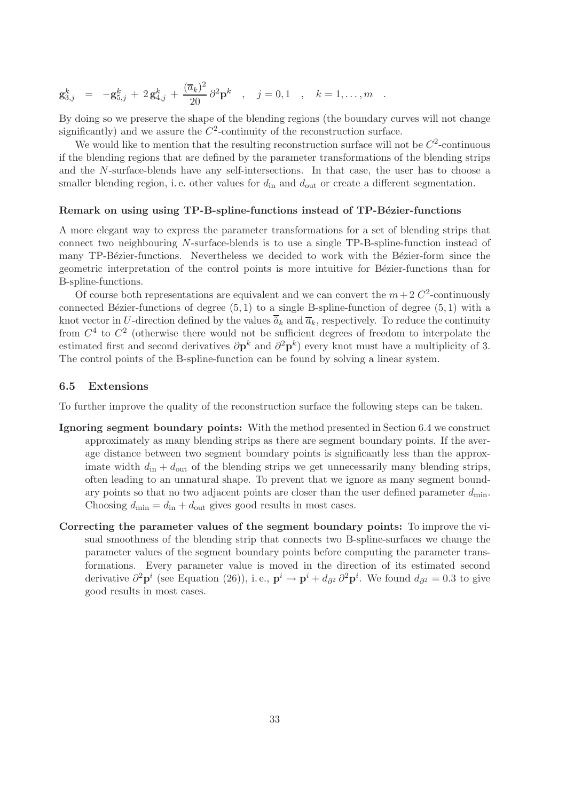$$
\mathbf{g}_{3,j}^k = -\mathbf{g}_{5,j}^k + 2\mathbf{g}_{4,j}^k + \frac{(\overline{a}_k)^2}{20} \partial^2 \mathbf{p}^k , \quad j = 0,1 , k = 1,\ldots,m .
$$

By doing so we preserve the shape of the blending regions (the boundary curves will not change significantly) and we assure the  $C^2$ -continuity of the reconstruction surface.

We would like to mention that the resulting reconstruction surface will not be  $C^2$ -continuous if the blending regions that are defined by the parameter transformations of the blending strips and the N-surface-blends have any self-intersections. In that case, the user has to choose a smaller blending region, i.e. other values for  $d_{\rm in}$  and  $d_{\rm out}$  or create a different segmentation.

#### Remark on using using TP-B-spline-functions instead of TP-Bézier-functions

A more elegant way to express the parameter transformations for a set of blending strips that connect two neighbouring N-surface-blends is to use a single TP-B-spline-function instead of many TP-Bézier-functions. Nevertheless we decided to work with the Bézier-form since the geometric interpretation of the control points is more intuitive for Bézier-functions than for B-spline-functions.

Of course both representations are equivalent and we can convert the  $m+2 C<sup>2</sup>$ -continuously connected Bézier-functions of degree  $(5, 1)$  to a single B-spline-function of degree  $(5, 1)$  with a knot vector in U-direction defined by the values  $\overline{a}_k$  and  $\overline{a}_k$ , respectively. To reduce the continuity from  $C<sup>4</sup>$  to  $C<sup>2</sup>$  (otherwise there would not be sufficient degrees of freedom to interpolate the estimated first and second derivatives  $\partial \mathbf{p}^k$  and  $\partial^2 \mathbf{p}^k$ ) every knot must have a multiplicity of 3. The control points of the B-spline-function can be found by solving a linear system.

### 6.5 Extensions

To further improve the quality of the reconstruction surface the following steps can be taken.

- Ignoring segment boundary points: With the method presented in Section 6.4 we construct approximately as many blending strips as there are segment boundary points. If the average distance between two segment boundary points is significantly less than the approximate width  $d_{\text{in}} + d_{\text{out}}$  of the blending strips we get unnecessarily many blending strips, often leading to an unnatural shape. To prevent that we ignore as many segment boundary points so that no two adjacent points are closer than the user defined parameter  $d_{\min}$ . Choosing  $d_{\min} = d_{\text{in}} + d_{\text{out}}$  gives good results in most cases.
- Correcting the parameter values of the segment boundary points: To improve the visual smoothness of the blending strip that connects two B-spline-surfaces we change the parameter values of the segment boundary points before computing the parameter transformations. Every parameter value is moved in the direction of its estimated second derivative  $\partial^2 \mathbf{p}^i$  (see Equation (26)), i.e.,  $\mathbf{p}^i \to \mathbf{p}^i + d_{\partial^2} \partial^2 \mathbf{p}^i$ . We found  $d_{\partial^2} = 0.3$  to give good results in most cases.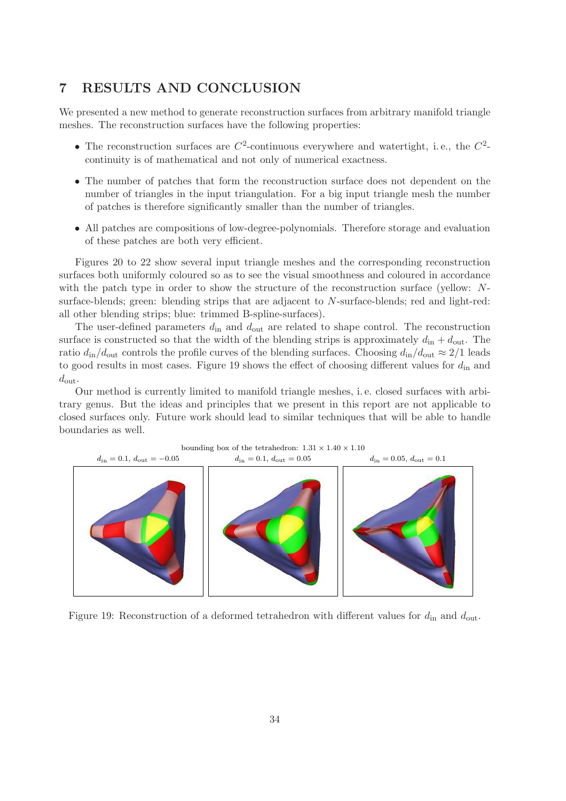# 7 RESULTS AND CONCLUSION

We presented a new method to generate reconstruction surfaces from arbitrary manifold triangle meshes. The reconstruction surfaces have the following properties:

- The reconstruction surfaces are  $C^2$ -continuous everywhere and watertight, i.e., the  $C^2$ continuity is of mathematical and not only of numerical exactness.
- The number of patches that form the reconstruction surface does not dependent on the number of triangles in the input triangulation. For a big input triangle mesh the number of patches is therefore significantly smaller than the number of triangles.
- All patches are compositions of low-degree-polynomials. Therefore storage and evaluation of these patches are both very efficient.

Figures 20 to 22 show several input triangle meshes and the corresponding reconstruction surfaces both uniformly coloured so as to see the visual smoothness and coloured in accordance with the patch type in order to show the structure of the reconstruction surface (yellow: Nsurface-blends; green: blending strips that are adjacent to N-surface-blends; red and light-red: all other blending strips; blue: trimmed B-spline-surfaces).

The user-defined parameters  $d_{\text{in}}$  and  $d_{\text{out}}$  are related to shape control. The reconstruction surface is constructed so that the width of the blending strips is approximately  $d_{\rm in} + d_{\rm out}$ . The ratio  $d_{\rm in}/d_{\rm out}$  controls the profile curves of the blending surfaces. Choosing  $d_{\rm in}/d_{\rm out} \approx 2/1$  leads to good results in most cases. Figure 19 shows the effect of choosing different values for  $d_{\rm in}$  and  $d_{\text{out}}$ .

Our method is currently limited to manifold triangle meshes, i. e. closed surfaces with arbitrary genus. But the ideas and principles that we present in this report are not applicable to closed surfaces only. Future work should lead to similar techniques that will be able to handle boundaries as well.



Figure 19: Reconstruction of a deformed tetrahedron with different values for  $d_{\rm in}$  and  $d_{\rm out}$ .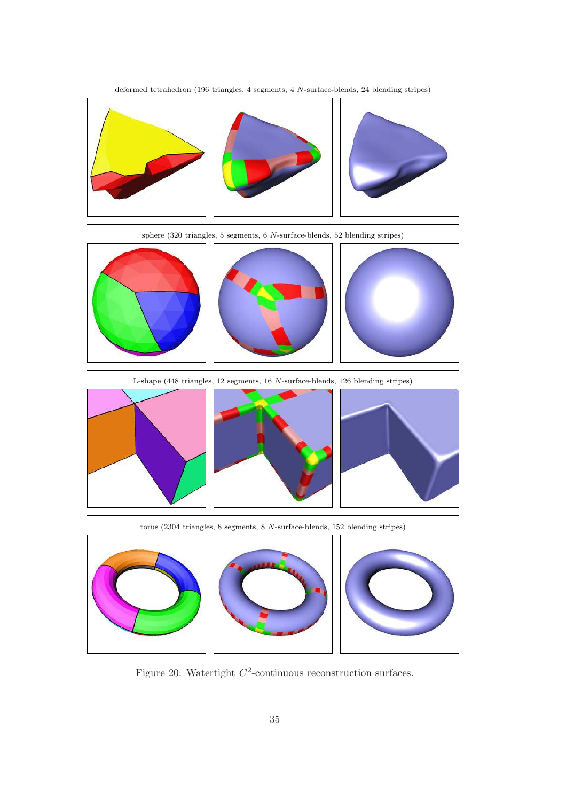deformed tetrahedron (196 triangles, 4 segments, 4 N-surface-blends, 24 blending stripes)



sphere (320 triangles, 5 segments, 6 N-surface-blends, 52 blending stripes)



L-shape (448 triangles, 12 segments, 16 N-surface-blends, 126 blending stripes)







torus (2304 triangles, 8 segments, 8 N-surface-blends, 152 blending stripes)



Figure 20: Watertight  $C^2$ -continuous reconstruction surfaces.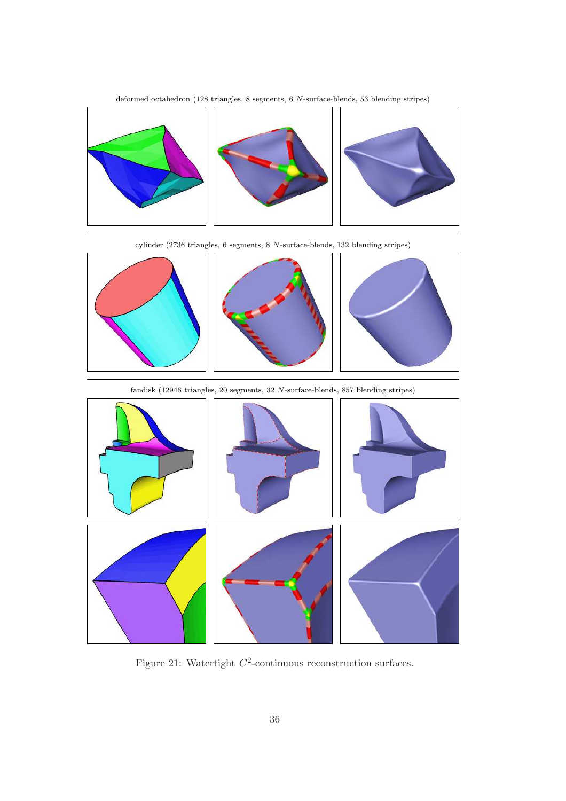deformed octahedron (128 triangles, 8 segments, 6 N-surface-blends, 53 blending stripes)



cylinder (2736 triangles, 6 segments, 8 N-surface-blends, 132 blending stripes)



fandisk (12946 triangles, 20 segments, 32 N-surface-blends, 857 blending stripes)



Figure 21: Watertight  $C^2$ -continuous reconstruction surfaces.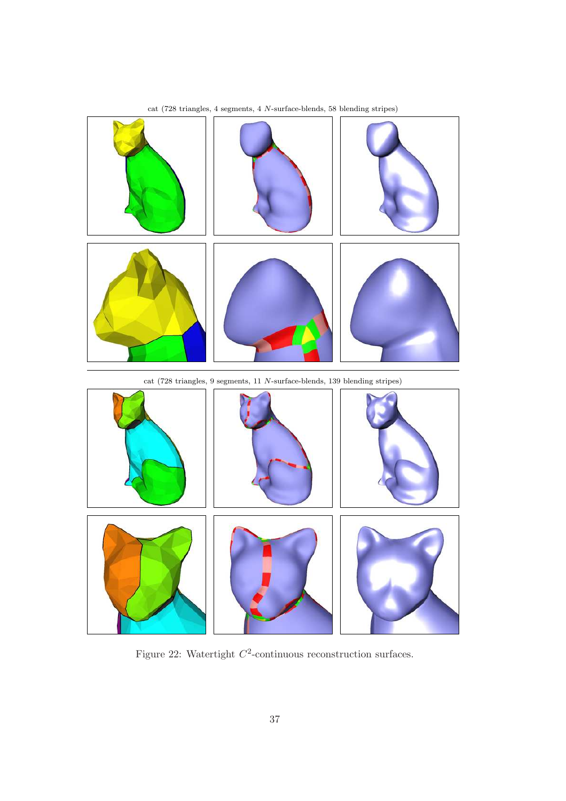

cat (728 triangles, 4 segments, 4 N-surface-blends, 58 blending stripes)



Figure 22: Watertight  $C^2$ -continuous reconstruction surfaces.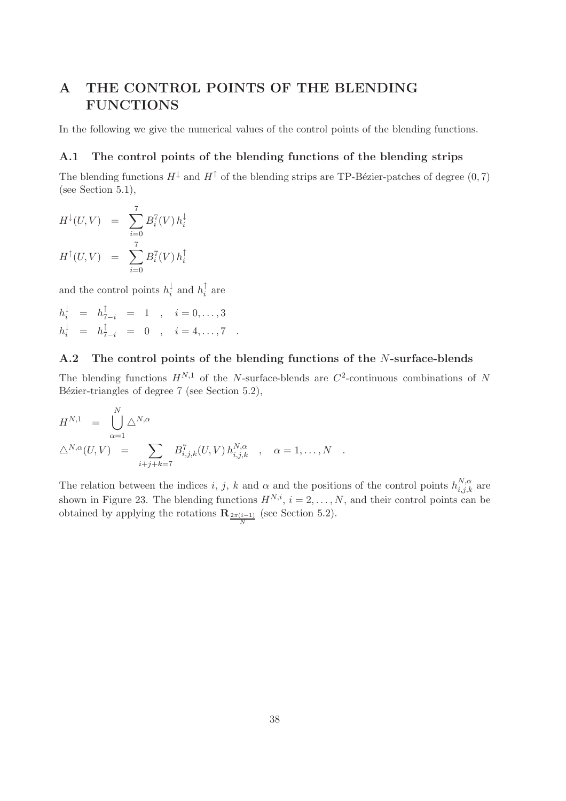# A THE CONTROL POINTS OF THE BLENDING FUNCTIONS

In the following we give the numerical values of the control points of the blending functions.

# A.1 The control points of the blending functions of the blending strips

The blending functions  $H^{\downarrow}$  and  $H^{\uparrow}$  of the blending strips are TP-Bézier-patches of degree (0, 7) (see Section 5.1),

$$
H^{\downarrow}(U, V) = \sum_{i=0}^{7} B_i^{7}(V) h_i^{\downarrow}
$$

$$
H^{\uparrow}(U, V) = \sum_{i=0}^{7} B_i^{7}(V) h_i^{\uparrow}
$$

and the control points  $h_i^{\downarrow}$  $\frac{1}{i}$  and  $h_i^{\uparrow}$  $i^{\dagger}$  are

$$
h_i^{\downarrow} = h_{7-i}^{\uparrow} = 1 , i = 0,...,3
$$
  
\n
$$
h_i^{\downarrow} = h_{7-i}^{\uparrow} = 0 , i = 4,...,7.
$$

# A.2 The control points of the blending functions of the N-surface-blends

The blending functions  $H^{N,1}$  of the N-surface-blends are  $C^2$ -continuous combinations of N Bézier-triangles of degree 7 (see Section 5.2),

$$
H^{N,1} = \bigcup_{\alpha=1}^{N} \Delta^{N,\alpha} \n\Delta^{N,\alpha}(U,V) = \sum_{i+j+k=7}^{N} B_{i,j,k}^{7}(U,V) h_{i,j,k}^{N,\alpha} , \alpha = 1,...,N .
$$

The relation between the indices i, j, k and  $\alpha$  and the positions of the control points  $h_{i,j,k}^{N,\alpha}$  are shown in Figure 23. The blending functions  $H^{N,i}$ ,  $i = 2, \ldots, N$ , and their control points can be obtained by applying the rotations  $\mathbf{R}_{\frac{2\pi(i-1)}{N}}$  (see Section 5.2).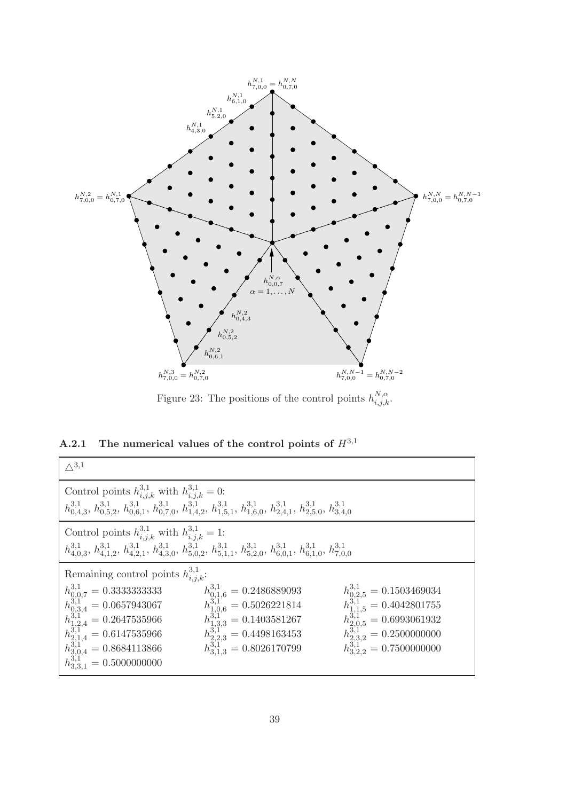

Figure 23: The positions of the control points  $h_{i,j,k}^{N,\alpha}$ .

A.2.1 The numerical values of the control points of  $H^{3,1}$ 

| $\wedge^{3,1}$                                                                                                                                                                                                                                        |                                                                                                                                                                                                   |                                                                                                                                                                                         |
|-------------------------------------------------------------------------------------------------------------------------------------------------------------------------------------------------------------------------------------------------------|---------------------------------------------------------------------------------------------------------------------------------------------------------------------------------------------------|-----------------------------------------------------------------------------------------------------------------------------------------------------------------------------------------|
| Control points $h^{3,1}_{i,j,k}$ with $h^{3,1}_{i,j,k} = 0$ :<br>$h^{3,1}_{0,4,3}, h^{3,1}_{0,5,2}, h^{3,1}_{0,6,1}, h^{3,1}_{0,7,0}, h^{3,1}_{1,4,2}, h^{3,1}_{1,5,1}, h^{3,1}_{1,6,0}, h^{3,1}_{2,4,1}, h^{3,1}_{2,5,0}, h^{3,1}_{3,4,0}$           |                                                                                                                                                                                                   |                                                                                                                                                                                         |
| Control points $h_{i,j,k}^{3,1}$ with $h_{i,j,k}^{3,1} = 1$ :<br>$h_{4,0,3}^{3,1}, h_{4,1,2}^{3,1}, h_{4,2,1}^{3,1}, h_{4,3,0}^{3,1}, h_{5,0,2}^{3,1}, h_{5,1,1}^{3,1}, h_{5,2,0}^{3,1}, h_{6,0,1}^{3,1}, h_{6,1,0}^{3,1}, h_{7,0,0}^{3,1}$           |                                                                                                                                                                                                   |                                                                                                                                                                                         |
| Remaining control points $h^{3,1}_{i,j,k}$ :                                                                                                                                                                                                          |                                                                                                                                                                                                   |                                                                                                                                                                                         |
| $\begin{array}{l} h^{3,1}_{0,0,7}=0.3333333333\\ h^{3,1}_{0,3,4}=0.0657943067\\ h^{3,1}_{1,2,4}=0.2647535966\\ h^{3,1}_{2,1,4}=0.6147535966\\ h^{3,1}_{2,1,4}=0.8684113866\\ h^{3,1}_{3,0,4}=0.8684113866\\ h^{3,1}_{3,3,1}=0.5000000000 \end{array}$ | $\begin{array}{l} h_{0,1,6}^{3,1} = 0.2486889093\\ h_{1,0,6}^{3,1} = 0.5026221814\\ h_{1,3,3}^{3,1} = 0.1403581267\\ h_{2,2,3}^{3,1} = 0.4498163453\\ h_{3,1,3}^{3,1} = 0.8026170799 \end{array}$ | $\begin{array}{l} h^{3,1}_{0,2,5}=0.1503469034\\ h^{3,1}_{1,1,5}=0.4042801755\\ h^{3,1}_{2,0,5}=0.6993061932\\ h^{3,1}_{2,3,2}=0.2500000000\\ h^{3,1}_{2,3,2}=0.7500000000 \end{array}$ |
|                                                                                                                                                                                                                                                       |                                                                                                                                                                                                   |                                                                                                                                                                                         |
|                                                                                                                                                                                                                                                       |                                                                                                                                                                                                   |                                                                                                                                                                                         |
|                                                                                                                                                                                                                                                       |                                                                                                                                                                                                   |                                                                                                                                                                                         |
|                                                                                                                                                                                                                                                       |                                                                                                                                                                                                   |                                                                                                                                                                                         |
|                                                                                                                                                                                                                                                       |                                                                                                                                                                                                   |                                                                                                                                                                                         |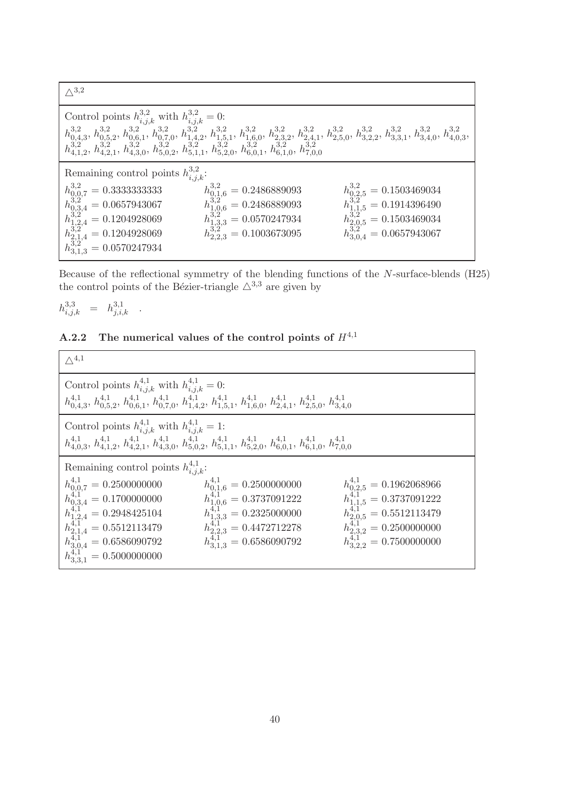$\triangle^{3,2}$ Control points  $h_{i,j,k}^{3,2}$  with  $h_{i,j,k}^{3,2} = 0$ :  $h_{0.4}^{3,2}$  $\frac{3,2}{0,4,3}$ ,  $h_{0,5}^{3,2}$  $\frac{3,2}{0,5,2}, h_{0,6}^{3,2}$  $\frac{3,2}{0,6,1}$ ,  $h_{0,7}^{3,2}$  $\frac{3,2}{0,7,0}, h_{1,4}^{3,2}$  $^{3,2}_{1,4,2}, h^{3,2}_{1,5}$  $\frac{3,2}{1,5,1}, h_{1,6}^{3,2}$  $\frac{3,2}{1,6,0}, h_{2,3}^{3,2}$  $\frac{3,2}{2,3,2}$ ,  $h_{2,4}^{3,2}$  $\frac{3,2}{2,4,1}$ ,  $h_{2,5}^{3,2}$  $\frac{3,2}{2,5,0}, h_{3,2}^{3,2}$  $3,2,2, h_{3,3}^{3,2}$  $3,3,1$ ,  $h_{3,4}^{3,2}$  $\frac{3,2}{3,4,0}$ ,  $h_{4,0}^{3,2}$  $_{4,0,3}^{5,2},$  $h_{4.1}^{3,2}$  $\frac{3,2}{4,1,2}, h_{4,2}^{3,2}$  $\frac{3,2}{4,2,1}, h_{4,3}^{3,2}$  $\frac{3,2}{4,3,0}, h_{5,0}^{3,2}$  $\frac{3,2}{5,0,2}, h_{5,1}^{3,2}$  $\frac{3,2}{5,1,1}, h_{5,2}^{3,2}$  $\frac{3,2}{5,2,0}$ ,  $h_{6,0}^{3,2}$  $\frac{3,2}{6,0,1}$ ,  $h_{6,1}^{3,2}$  $^{3,2}_{6,1,0}, h^{3,2}_{7,0}$ 7,0,0 Remaining control points  $h_{i,j,k}^{3,2}$ : h 3,2 <sup>0</sup>,0,<sup>7</sup> = 0.3333333333 h  $\begin{array}{ll} \frac{3,2}{0,1,6}=0.2486889093 & h\ 3,2\ 3,2=0.0570247934 & h\ 1,3,3=0.0570247934 & h\ 2,2,3=0.1003673095 & h \end{array}$  $\begin{array}{l} \frac{3,2}{3,25}=0.1503469034\ \frac{3,2}{3,25}=0.1914396490\ \frac{3,2}{3,25}=0.1503469034\ \frac{3,2}{3,25}=0.1503469034\ \frac{3,2}{3,0,4}=0.0657943067 \end{array}$  $h_{0,3,4}^{3,2} = 0.0657943067$  h  $h_{1,2,4}^{3,2} = 0.1204928069$  h  $h_{2,1,4}^{3,2} = 0.1204928069$  h  $h_{3,1,3}^{3,2} = 0.0570247934$ 

Because of the reflectional symmetry of the blending functions of the N-surface-blends (H25) the control points of the Bézier-triangle  $\triangle^{3,3}$  are given by

$$
h_{i,j,k}^{3,3} = h_{j,i,k}^{3,1} .
$$

|  | A.2.2 The numerical values of the control points of $H^{4,1}$ |  |  |  |  |  |  |  |
|--|---------------------------------------------------------------|--|--|--|--|--|--|--|
|--|---------------------------------------------------------------|--|--|--|--|--|--|--|

| $\wedge$ <sup>4,1</sup>                                                                                                                                                                                                                     |                                                                                                                                                                                           |                                                                                                                                                                                         |
|---------------------------------------------------------------------------------------------------------------------------------------------------------------------------------------------------------------------------------------------|-------------------------------------------------------------------------------------------------------------------------------------------------------------------------------------------|-----------------------------------------------------------------------------------------------------------------------------------------------------------------------------------------|
| Control points $h_{i,j,k}^{4,1}$ with $h_{i,j,k}^{4,1} = 0$ :<br>$h_{0,4,3}^{4,1}, h_{0,5,2}^{4,1}, h_{0,6,1}^{4,1}, h_{0,7,0}^{4,1}, h_{1,4,2}^{4,1}, h_{1,5,1}^{4,1}, h_{1,6,0}^{4,1}, h_{2,4,1}^{4,1}, h_{2,5,0}^{4,1}, h_{3,4,0}^{4,1}$ |                                                                                                                                                                                           |                                                                                                                                                                                         |
| Control points $h_{i,j,k}^{4,1}$ with $h_{i,j,k}^{4,1} = 1$ :<br>$h_{4,0,3}^{4,1}, h_{4,1,2}^{4,1}, h_{4,2,1}^{4,1}, h_{4,3,0}^{4,1}, h_{5,0,2}^{4,1}, h_{5,1,1}^{4,1}, h_{5,2,0}^{4,1}, h_{6,0,1}^{4,1}, h_{6,1,0}^{4,1}, h_{7,0,0}^{4,1}$ |                                                                                                                                                                                           |                                                                                                                                                                                         |
| Remaining control points $h_{i,j,k}^{4,1}$ :                                                                                                                                                                                                | $\begin{array}{l} h^{4,1}_{0,1,6}=0.2500000000\\ h^{4,1}_{1,0,6}=0.3737091222\\ h^{4,1}_{1,3,3}=0.2325000000\\ h^{4,1}_{2,2,3}=0.4472712278\\ h^{4,1}_{3,1,3}=0.6586090792\\ \end{array}$ | $\begin{array}{l} h^{4,1}_{0,2,5}=0.1962068966\\ h^{4,1}_{1,1,5}=0.3737091222\\ h^{4,1}_{2,0,5}=0.5512113479\\ h^{4,1}_{2,3,2}=0.2500000000\\ h^{4,1}_{2,3,2}=0.7500000000 \end{array}$ |
| $\begin{array}{l} h^{4,1}_{0,0,7}=0.2500000000\\ h^{4,1}_{0,3,4}=0.1700000000\\ h^{4,1}_{1,2,4}=0.2948425104\\ h^{4,1}_{2,1,4}=0.5512113479\\ h^{4,1}_{3,1,4}=0.6586090792\\ h^{4,1}_{3,3,1}=0.5000000000 \end{array}$                      |                                                                                                                                                                                           |                                                                                                                                                                                         |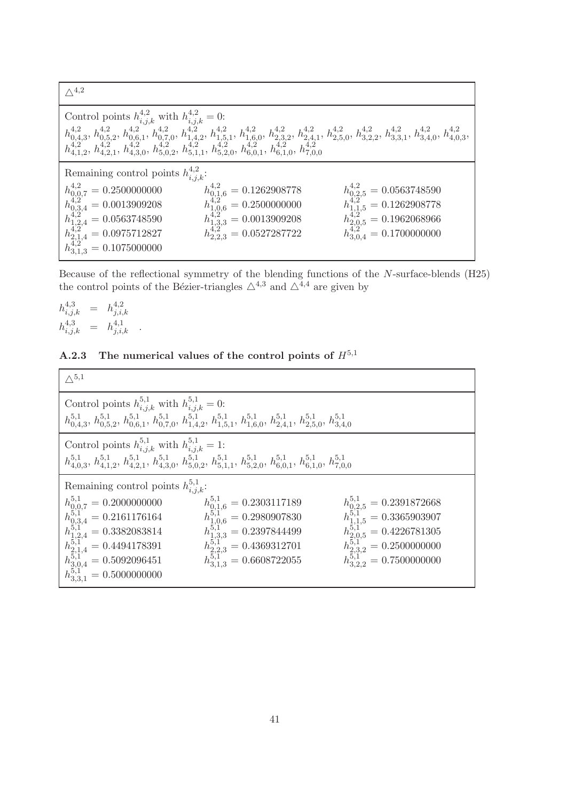$\wedge$ <sup>4,2</sup>

| $h_{0,4,3}^{4,2},\,h_{0,5,2}^{4,2},\,h_{0,6,1}^{4,2},\,h_{0,7,0}^{4,2},\,h_{1,4,2}^{4,2},\,h_{1,5,1}^{4,2},\,h_{1,6,0}^{4,2},\,h_{2,3,2}^{4,2},\,h_{2,4,1}^{4,2},\,h_{2,5,0}^{4,2},\,h_{3,2,2}^{4,2},\,h_{3,3,1}^{4,2},\,h_{3,4,0}^{4,2},\,h_{4,0,3}^{4,2},\\ h_{4,1,2}^{4,$ |
|------------------------------------------------------------------------------------------------------------------------------------------------------------------------------------------------------------------------------------------------------------------------------|
|                                                                                                                                                                                                                                                                              |
| $\begin{array}{l} h^{4,2}_{0,2,5}=0.0563748590\\ h^{4,2}_{1,1,5}=0.1262908778\\ h^{4,2}_{2,0,5}=0.1962068966\\ h^{4,2}_{3,0,4}=0.1700000000 \end{array}$                                                                                                                     |
|                                                                                                                                                                                                                                                                              |
|                                                                                                                                                                                                                                                                              |
|                                                                                                                                                                                                                                                                              |
|                                                                                                                                                                                                                                                                              |
| Control points $h_{i,j,k}^{4,2}$ with $h_{i,j,k}^{4,2} = 0$ :<br>Remaining control points $h_{i,j,k}^{4,2}$ :<br>$\begin{array}{l} h^{4,2}_{0,1,6}=0.1262908778\\ h^{4,2}_{1,0,6}=0.2500000000\\ h^{4,2}_{1,3,3}=0.0013909208\\ h^{4,2}_{2,2,3}=0.0527287722 \end{array}$    |

Because of the reflectional symmetry of the blending functions of the N-surface-blends (H25) the control points of the Bézier-triangles  $\triangle^{4,3}$  and  $\triangle^{4,4}$  are given by

$$
h_{i,j,k}^{4,3} = h_{j,i,k}^{4,2}
$$
  

$$
h_{i,j,k}^{4,3} = h_{j,i,k}^{4,1}
$$

# A.2.3 The numerical values of the control points of  $H^{5,1}$

| $\wedge$ <sup>5,1</sup>                                                                                                                                                                                                                     |                                                                                                                                                                                                   |                                                                                                                                                                                       |
|---------------------------------------------------------------------------------------------------------------------------------------------------------------------------------------------------------------------------------------------|---------------------------------------------------------------------------------------------------------------------------------------------------------------------------------------------------|---------------------------------------------------------------------------------------------------------------------------------------------------------------------------------------|
| Control points $h_{i,j,k}^{5,1}$ with $h_{i,j,k}^{5,1} = 0$ :<br>$h_{0,4,3}^{5,1}, h_{0,5,2}^{5,1}, h_{0,6,1}^{5,1}, h_{0,7,0}^{5,1}, h_{1,4,2}^{5,1}, h_{1,5,1}^{5,1}, h_{1,6,0}^{5,1}, h_{2,4,1}^{5,1}, h_{2,5,0}^{5,1}, h_{3,4,0}^{5,1}$ |                                                                                                                                                                                                   |                                                                                                                                                                                       |
| Control points $h_{i,j,k}^{5,1}$ with $h_{i,j,k}^{5,1} = 1$ :<br>$h_{4,0,3}^{5,1}, h_{4,1,2}^{5,1}, h_{4,2,1}^{5,1}, h_{4,3,0}^{5,1}, h_{5,0,2}^{5,1}, h_{5,1,1}^{5,1}, h_{5,2,0}^{5,1}, h_{6,0,1}^{5,1}, h_{6,1,0}^{5,1}, h_{7,0,0}^{5,1}$ |                                                                                                                                                                                                   |                                                                                                                                                                                       |
| Remaining control points $h_{i,j,k}^{5,1}$ :                                                                                                                                                                                                |                                                                                                                                                                                                   |                                                                                                                                                                                       |
|                                                                                                                                                                                                                                             | $\begin{array}{l} h_{0,1,6}^{5,1} = 0.2303117189\\ h_{1,0,6}^{5,1} = 0.2980907830\\ h_{1,3,3}^{5,1} = 0.2397844499\\ h_{2,2,3}^{5,1} = 0.4369312701\\ h_{3,1,3}^{5,1} = 0.6608722055 \end{array}$ | $\begin{array}{l} h_{0,2,5}^{5,1}=0.2391872668\\ h_{1,1,5}^{5,1}=0.3365903907\\ h_{2,0,5}^{5,1}=0.4226781305\\ h_{2,3,2}^{5,1}=0.2500000000\\ h_{5,1}^{5,1}=0.7500000000 \end{array}$ |
|                                                                                                                                                                                                                                             |                                                                                                                                                                                                   |                                                                                                                                                                                       |
|                                                                                                                                                                                                                                             |                                                                                                                                                                                                   |                                                                                                                                                                                       |
|                                                                                                                                                                                                                                             |                                                                                                                                                                                                   |                                                                                                                                                                                       |
|                                                                                                                                                                                                                                             |                                                                                                                                                                                                   |                                                                                                                                                                                       |
| $\begin{array}{l} h_{0,0,7}^{5,1}=0.2000000000\\ h_{0,0,34}^{5,1}=0.2161176164\\ h_{0,3,4}^{5,1}=0.3382083814\\ h_{2,1,4}^{5,1}=0.4494178391\\ h_{2,1,4}^{5,1}=0.5092096451\\ h_{3,0,4}^{5,1}=0.5000000000\\ \end{array}$                   |                                                                                                                                                                                                   |                                                                                                                                                                                       |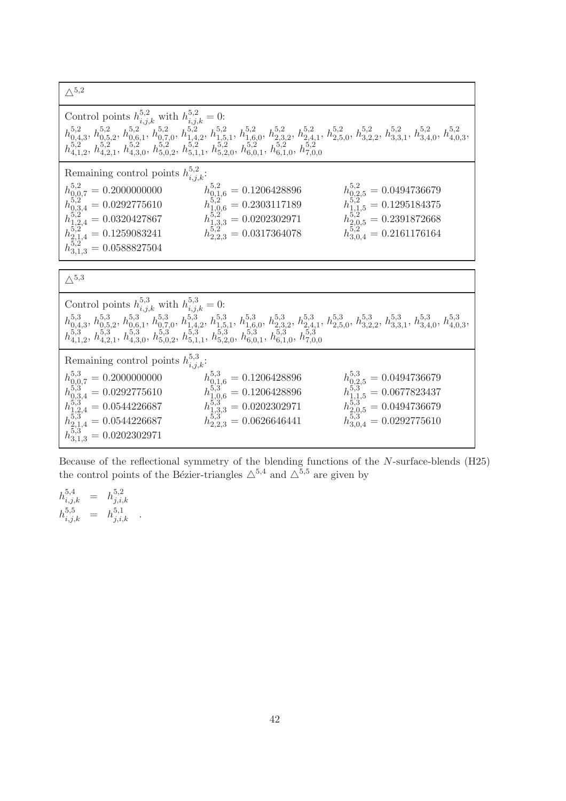$\Delta^{5,2}$ 

| $\overline{\phantom{a}}$                                                                                                                                                                                                                                                                                                                                                                                                |                                                                                                                                                                     |
|-------------------------------------------------------------------------------------------------------------------------------------------------------------------------------------------------------------------------------------------------------------------------------------------------------------------------------------------------------------------------------------------------------------------------|---------------------------------------------------------------------------------------------------------------------------------------------------------------------|
| Control points $h_{i,j,k}^{5,2}$ with $h_{i,j,k}^{5,2} = 0$ :<br>$h_{0,4,3}^{5,2}, h_{0,5,2}^{5,2}, h_{0,6,1}^{5,2}, h_{0,7,0}^{5,2}, h_{1,4,2}^{5,2}, h_{1,5,1}^{5,2}, h_{1,6,0}^{5,2}, h_{2,3,2}^{5,2}, h_{2,4,1}^{5,2}, h_{2,5,0}^{5,2}, h_{3,3,1}^{5,2}, h_{3,4,0}^{5,2}, h_{4,0,3}^{5,2},\\ h_{4,1,2}^{5,2}, h_{4,2,1}^{5,2}, h_{4,3,0}^{5,2}, h_{5,0,2}^{5,$                                                      |                                                                                                                                                                     |
| Remaining control points $h_{i,j,k}^{5,2}$ :<br>$\begin{array}{l} h_{0,1,6}^{5,2} = 0.1206428896\\ h_{1,0,6}^{5,2} = 0.2303117189\\ h_{1,3,3}^{5,2} = 0.0202302971\\ h_{2,2,3}^{5,2} = 0.0317364078\\ \end{array}$<br>$\begin{array}{l} h_{0,0,7}^{5,2} = 0.2000000000\\ h_{0,3,4}^{5,2} = 0.0292775610\\ h_{1,2,4}^{5,2} = 0.0320427867\\ h_{2,1,4}^{5,2} = 0.1259083241\\ h_{3,1,3}^{5,2} = 0.0588827504 \end{array}$ | $\begin{array}{l} h_{0,2,5}^{5,2} = 0.0494736679 \\ h_{1,1,5}^{5,2} = 0.1295184375 \\ h_{2,0,5}^{5,2} = 0.2391872668 \\ h_{3,0,4}^{5,2} = 0.2161176164 \end{array}$ |
| $\triangle$ <sup>5,3</sup>                                                                                                                                                                                                                                                                                                                                                                                              |                                                                                                                                                                     |
| Control points $h_{i,j,k}^{5,3}$ with $h_{i,j,k}^{5,3} = 0$ :<br>$h_{0,4,3}^{5,3},\, h_{0,5,2}^{5,3},\, h_{0,6,1}^{5,3},\, h_{0,7,0}^{5,3},\, h_{1,4,2}^{5,3},\, h_{1,5,1}^{5,3},\, h_{1,6,0}^{5,3},\, h_{2,3,2}^{5,3},\, h_{2,4,1}^{5,3},\, h_{2,5,0}^{5,3},\, h_{3,2,2}^{5,3},\, h_{3,3,1}^{5,3},\, h_{3,4,0}^{5,3},\, h_{4,0,3}^{5,3},\\ h_{4,1,2}^{5,$                                                              |                                                                                                                                                                     |
| Remaining control points $h_{i,j,k}^{5,3}$ :<br>$\begin{array}{l} h_{0,0,7}^{5,3} = 0.2000000000\\ h_{0,3,4}^{5,3} = 0.0292775610\\ h_{1,2,4}^{5,3} = 0.0544226687\\ h_{2,1,4}^{5,3} = 0.0544226687\\ h_{3,1,3}^{5,3} = 0.0202302971\\ \end{array}$<br>$h_{0,1,6}^{5,3} = 0.1206428896$<br>$h_{1,0,6}^{5,3} = 0.1206428896$<br>$h_{1,3,3}^{5,3} = 0.0202302971$<br>$h_{2,2,3}^{5,3} = 0.0626646441$                     | $\begin{array}{l} h_{0,2,5}^{5,3} = 0.0494736679 \\ h_{1,1,5}^{5,3} = 0.0677823437 \\ h_{2,0,5}^{5,3} = 0.0494736679 \\ h_{3,0,4}^{5,3} = 0.0292775610 \end{array}$ |

Because of the reflectional symmetry of the blending functions of the N-surface-blends (H25) the control points of the Bézier-triangles  $\triangle^{5,4}$  and  $\triangle^{5,5}$  are given by

| $h_{i,j,k}^{5,4}$ | = | $h_{j,i,k}^{5,2}$ |  |
|-------------------|---|-------------------|--|
| $h_{i,j,k}^{5,5}$ | = | $h_{j,i,k}^{5,1}$ |  |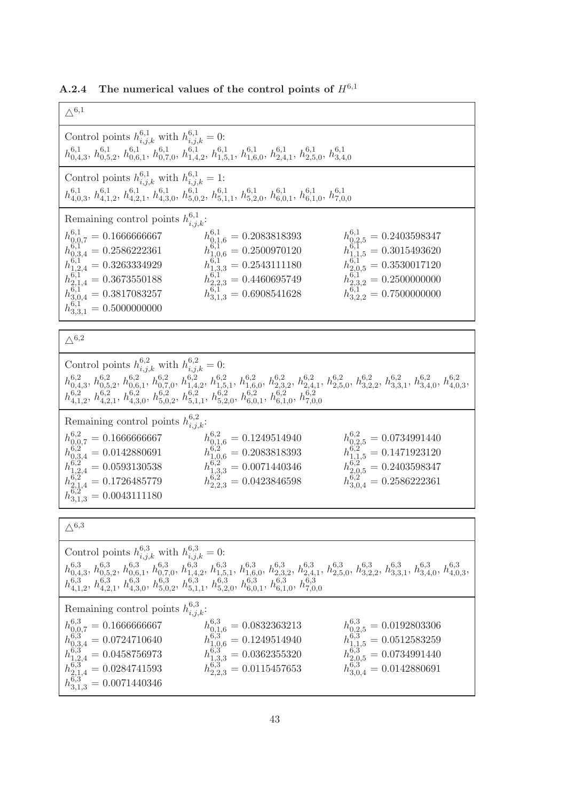A.2.4 The numerical values of the control points of  $H^{6,1}$ 

| $\triangle^{6,1}$                                                                                                                                                                                                                                                                                                                                                                                                                                                                                                                                                                                                                                                                                                                               |
|-------------------------------------------------------------------------------------------------------------------------------------------------------------------------------------------------------------------------------------------------------------------------------------------------------------------------------------------------------------------------------------------------------------------------------------------------------------------------------------------------------------------------------------------------------------------------------------------------------------------------------------------------------------------------------------------------------------------------------------------------|
| Control points $h_{i,j,k}^{6,1}$ with $h_{i,j,k}^{6,1} = 0$ :<br>$h_{0,4,3}^{6,1},\, h_{0,5,2}^{6,1},\, h_{0,6,1}^{6,1},\, h_{0,7,0}^{6,1},\, h_{1,4,2}^{6,1},\, h_{1,5,1}^{6,1},\, h_{1,6,0}^{6,1},\, h_{2,4,1}^{6,1},\, h_{2,5,0}^{6,1},\, h_{3,4,0}^{6,1}$                                                                                                                                                                                                                                                                                                                                                                                                                                                                                   |
| Control points $h_{i,j,k}^{6,1}$ with $h_{i,j,k}^{6,1} = 1$ :<br>$h_{4,0,3}^{6,1},\, h_{4,1,2}^{6,1},\, h_{4,2,1}^{6,1},\, h_{4,3,0}^{6,1},\, h_{5,0,2}^{6,1},\, h_{5,1,1}^{6,1},\, h_{5,2,0}^{6,1},\, h_{6,0,1}^{6,1},\, h_{7,0,0}^{6,1}$                                                                                                                                                                                                                                                                                                                                                                                                                                                                                                      |
| Remaining control points $h_{i,j,k}^{6,1}$ :<br>$h_{0,1,6}^{6,1}=0.2083818393\,$<br>$h_{0,0,7}^{6,1} = 0.1666666667$<br>$h_{\ensuremath{\mathbf{0}},\ensuremath{\mathbf{2}},5}^{6,1} = 0.2403598347$<br>$h_{1,1,5}^{6,2,0} = 0.3015493620$<br>$h_{1,0,6}^{6,1,0} = 0.2500970120$<br>$h_{0,3,4}^{6,1'} = 0.2586222361$<br>$h_{1,2,4}^{6,1*} = 0.3263334929$<br>$h_{2,1,4}^{6,1*} = 0.3673550188$<br>$h_{2,0,5}^{\tilde{6},1''}=0.3530017120$<br>$h_{1,3,3}^{6,1'} = 0.2543111180$<br>$h_{2,2,3}^{\bar{6},\bar{1}'} = 0.4460695749$<br>$h_{2,3,2}^{\overline{6},\overline{1}'} = 0.2500000000$<br>$h_{3,1,3}^{6,1'} = 0.6908541628$<br>$h_{3,0,4}^{6,1'} = 0.3817083257$<br>$h_{3,2,2}^{6,1'} = 0.7500000000$<br>$h_{3,3,1}^{6,1} = 0.5000000000$ |
| $\triangle^{6,2}$                                                                                                                                                                                                                                                                                                                                                                                                                                                                                                                                                                                                                                                                                                                               |
| Control points $h_{i,j,k}^{6,2}$ with $h_{i,j,k}^{6,2} = 0$ :<br>$h_{0,4,3}^{6,2},\,h_{0,5,2}^{6,2},\,h_{0,6,1}^{6,2},\,h_{0,7,0}^{6,2},\,h_{1,4,2}^{6,2},\,h_{1,5,1}^{6,2},\,h_{1,6,0}^{6,2},\,h_{2,3,2}^{6,2},\,h_{2,4,1}^{6,2},\,h_{2,5,0}^{6,2},\,h_{3,2,2}^{6,2},\,h_{3,3,1}^{6,2},\,h_{3,4,0}^{6,2},\,h_{4,0,3}^{6,2},\\ h_{4,1,2}^{6,$                                                                                                                                                                                                                                                                                                                                                                                                   |
| Remaining control points $h_{i,j,k}^{6,2}$ :<br>$h_{0,0,7}^{6,2} = 0.1666666667$<br>$h_{0,1,6}^{6,2} = 0.1249514940$<br>$h_{0,2,5}^{6,2} = 0.0734991440$<br>$h_{1,0,6}^{6,25} = 0.2083818393$<br>$h_{1,3,3}^{6,25} = 0.0071440346$<br>$h_{1,1,5}^{6,2} = 0.1471923120$<br>$h_{0,3,4}^{6,2} = 0.0142880691$<br>$h_{2,0,5}^{6,2^{*}}=0.2403598347$<br>$h_{1,2,4}^{6,2} = 0.0593130538$<br>$h_{2,1,4}^{6,2} = 0.1726485779$<br>$h_{3,0,4}^{6,2} = 0.2586222361$<br>$h_{2,2,3}^{6,2} = 0.0423846598$<br>$h_{3,1,3}^{6,2} = 0.0043111180$                                                                                                                                                                                                            |
| $\triangle^{6,3}$                                                                                                                                                                                                                                                                                                                                                                                                                                                                                                                                                                                                                                                                                                                               |
| Control points $h_{i,j,k}^{6,3}$ with $h_{i,j,k}^{6,3} = 0$ :<br>$h_{0,4,3}^{6,3},\, h_{0,5,2}^{6,3},\, h_{0,6,1}^{6,3},\, h_{0,7,0}^{6,3},\, h_{1,4,2}^{6,3},\, h_{1,5,1}^{6,3},\, h_{1,6,0}^{6,3},\, h_{2,3,2}^{6,3},\, h_{2,4,1}^{6,3},\, h_{2,5,0}^{6,3},\, h_{3,2,2}^{6,3},\, h_{3,3,1}^{6,3},\, h_{3,4,0}^{6,3},\, h_{4,0,3}^{6,3},\\ h_{4,1,2}^{6,$                                                                                                                                                                                                                                                                                                                                                                                      |
| Remaining control points $h_{i,j,k}^{6,3}$ :<br>$h_{0,1,6}^{6,3} = 0.0832363213$<br>$\begin{array}{l} h^{6,3}_{0,2,5}=0.0192803306\\ h^{6,3}_{1,1,5}=0.0512583259\\ h^{6,3}_{2,9,5}=0.0734991440\\ \end{array}$<br>$h_{0,0,7}^{6,3} = 0.1666666667$<br>$h_{1,0,6}^{6,3'} = 0.1249514940$<br>$h_{1,3,3}^{6,3} = 0.0362355320$<br>$h_{0,3,4}^{6,3} = 0.0724710640$<br>$h_{1,2,4}^{6,3} = 0.0458756973$<br>$h_{2,1,4}^{6,3} = 0.0284741593$<br>$h_{3,1,3}^{6,3} = 0.0071440346$<br>$h_{2,2,3}^{6,3} = 0.0115457653$<br>$h_{3,0,4}^{6,3} = 0.0142880691$                                                                                                                                                                                            |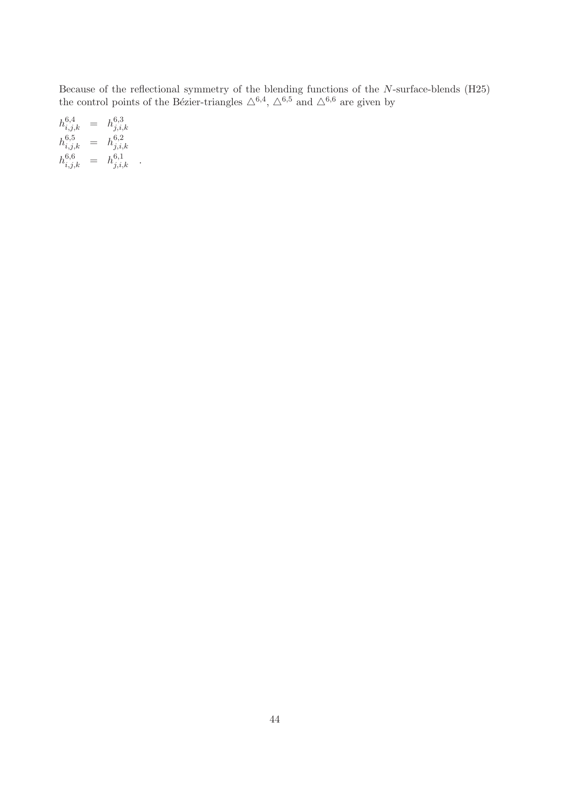Because of the reflectional symmetry of the blending functions of the N-surface-blends (H25) the control points of the Bézier-triangles  $\triangle^{6,4}$ ,  $\triangle^{6,5}$  and  $\triangle^{6,6}$  are given by

$$
h_{i,j,k}^{6,4} = h_{j,i,k}^{6,3}
$$
  
\n
$$
h_{i,j,k}^{6,5} = h_{j,i,k}^{6,2}
$$
  
\n
$$
h_{i,j,k}^{6,6} = h_{j,i,k}^{6,1}
$$

 $\ddot{\phantom{1}}$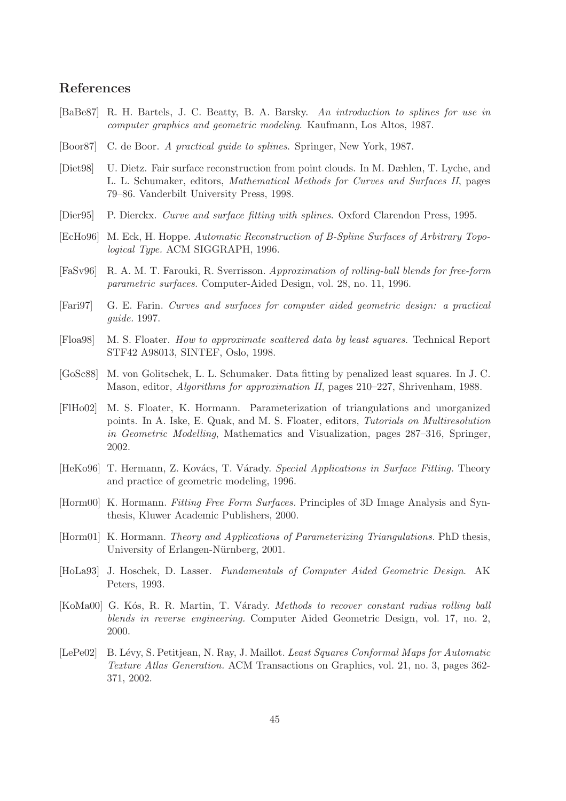# References

- [BaBe87] R. H. Bartels, J. C. Beatty, B. A. Barsky. *An introduction to splines for use in computer graphics and geometric modeling*. Kaufmann, Los Altos, 1987.
- [Boor87] C. de Boor. *A practical guide to splines*. Springer, New York, 1987.
- [Diet98] U. Dietz. Fair surface reconstruction from point clouds. In M. Dæhlen, T. Lyche, and L. L. Schumaker, editors, *Mathematical Methods for Curves and Surfaces II*, pages 79–86. Vanderbilt University Press, 1998.
- [Dier95] P. Dierckx. *Curve and surface fitting with splines*. Oxford Clarendon Press, 1995.
- [EcHo96] M. Eck, H. Hoppe. *Automatic Reconstruction of B-Spline Surfaces of Arbitrary Topological Type.* ACM SIGGRAPH, 1996.
- [FaSv96] R. A. M. T. Farouki, R. Sverrisson. *Approximation of rolling-ball blends for free-form parametric surfaces.* Computer-Aided Design, vol. 28, no. 11, 1996.
- [Fari97] G. E. Farin. *Curves and surfaces for computer aided geometric design: a practical guide.* 1997.
- [Floa98] M. S. Floater. *How to approximate scattered data by least squares.* Technical Report STF42 A98013, SINTEF, Oslo, 1998.
- [GoSc88] M. von Golitschek, L. L. Schumaker. Data fitting by penalized least squares. In J. C. Mason, editor, *Algorithms for approximation II*, pages 210–227, Shrivenham, 1988.
- [FlHo02] M. S. Floater, K. Hormann. Parameterization of triangulations and unorganized points. In A. Iske, E. Quak, and M. S. Floater, editors, *Tutorials on Multiresolution in Geometric Modelling*, Mathematics and Visualization, pages 287–316, Springer, 2002.
- [HeKo96] T. Hermann, Z. Kovács, T. Várady. *Special Applications in Surface Fitting*. Theory and practice of geometric modeling, 1996.
- [Horm00] K. Hormann. *Fitting Free Form Surfaces.* Principles of 3D Image Analysis and Synthesis, Kluwer Academic Publishers, 2000.
- [Horm01] K. Hormann. *Theory and Applications of Parameterizing Triangulations.* PhD thesis, University of Erlangen-Nürnberg, 2001.
- [HoLa93] J. Hoschek, D. Lasser. *Fundamentals of Computer Aided Geometric Design*. AK Peters, 1993.
- [KoMa00] G. Kós, R. R. Martin, T. Várady. *Methods to recover constant radius rolling ball blends in reverse engineering.* Computer Aided Geometric Design, vol. 17, no. 2, 2000.
- [LePe02] B. L´evy, S. Petitjean, N. Ray, J. Maillot. *Least Squares Conformal Maps for Automatic Texture Atlas Generation.* ACM Transactions on Graphics, vol. 21, no. 3, pages 362- 371, 2002.